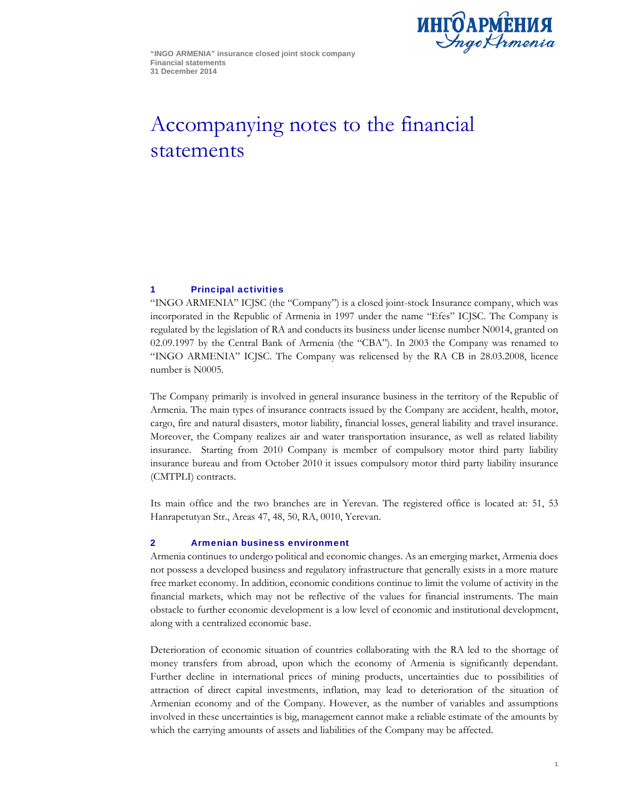

# Accompanying notes to the financial statements

### 1 Principal activities

"INGO ARMENIA" ICJSC (the "Company") is a closed joint-stock Insurance company, which was incorporated in the Republic of Armenia in 1997 under the name "Efes" ICJSC. The Company is regulated by the legislation of RA and conducts its business under license number N0014, granted on 02.09.1997 by the Central Bank of Armenia (the "CBA"). In 2003 the Company was renamed to "INGO ARMENIA" ICJSC. The Company was relicensed by the RA CB in 28.03.2008, licence number is N0005.

The Company primarily is involved in general insurance business in the territory of the Republic of Armenia. The main types of insurance contracts issued by the Company are accident, health, motor, cargo, fire and natural disasters, motor liability, financial losses, general liability and travel insurance. Moreover, the Company realizes air and water transportation insurance, as well as related liability insurance. Starting from 2010 Company is member of compulsory motor third party liability insurance bureau and from October 2010 it issues compulsory motor third party liability insurance (CMTPLI) contracts.

Its main office and the two branches are in Yerevan. The registered office is located at: 51, 53 Hanrapetutyan Str., Areas 47, 48, 50, RA, 0010, Yerevan.

#### 2 Armenian business environment

Armenia continues to undergo political and economic changes. As an emerging market, Armenia does not possess a developed business and regulatory infrastructure that generally exists in a more mature free market economy. In addition, economic conditions continue to limit the volume of activity in the financial markets, which may not be reflective of the values for financial instruments. The main obstacle to further economic development is a low level of economic and institutional development, along with a centralized economic base.

Deterioration of economic situation of countries collaborating with the RA led to the shortage of money transfers from abroad, upon which the economy of Armenia is significantly dependant. Further decline in international prices of mining products, uncertainties due to possibilities of attraction of direct capital investments, inflation, may lead to deterioration of the situation of Armenian economy and of the Company. However, as the number of variables and assumptions involved in these uncertainties is big, management cannot make a reliable estimate of the amounts by which the carrying amounts of assets and liabilities of the Company may be affected.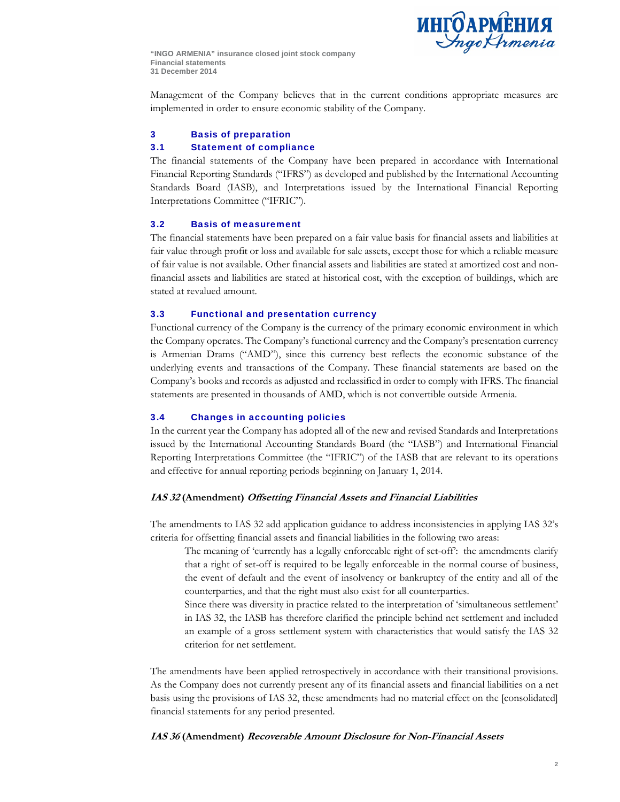

Management of the Company believes that in the current conditions appropriate measures are implemented in order to ensure economic stability of the Company.

## 3 Basis of preparation

### 3.1 Statement of compliance

The financial statements of the Company have been prepared in accordance with International Financial Reporting Standards ("IFRS") as developed and published by the International Accounting Standards Board (IASB), and Interpretations issued by the International Financial Reporting Interpretations Committee ("IFRIC").

### 3.2 Basis of measurement

The financial statements have been prepared on a fair value basis for financial assets and liabilities at fair value through profit or loss and available for sale assets, except those for which a reliable measure of fair value is not available. Other financial assets and liabilities are stated at amortized cost and nonfinancial assets and liabilities are stated at historical cost, with the exception of buildings, which are stated at revalued amount.

### 3.3 Functional and presentation currency

Functional currency of the Company is the currency of the primary economic environment in which the Company operates. The Company's functional currency and the Company's presentation currency is Armenian Drams ("AMD"), since this currency best reflects the economic substance of the underlying events and transactions of the Company. These financial statements are based on the Company's books and records as adjusted and reclassified in order to comply with IFRS. The financial statements are presented in thousands of AMD, which is not convertible outside Armenia.

### 3.4 Changes in accounting policies

In the current year the Company has adopted all of the new and revised Standards and Interpretations issued by the International Accounting Standards Board (the "IASB") and International Financial Reporting Interpretations Committee (the "IFRIC") of the IASB that are relevant to its operations and effective for annual reporting periods beginning on January 1, 2014.

### **IAS 32 (Amendment) Offsetting Financial Assets and Financial Liabilities**

The amendments to IAS 32 add application guidance to address inconsistencies in applying IAS 32's criteria for offsetting financial assets and financial liabilities in the following two areas:

 The meaning of 'currently has a legally enforceable right of set-off': the amendments clarify that a right of set-off is required to be legally enforceable in the normal course of business, the event of default and the event of insolvency or bankruptcy of the entity and all of the counterparties, and that the right must also exist for all counterparties.

 Since there was diversity in practice related to the interpretation of 'simultaneous settlement' in IAS 32, the IASB has therefore clarified the principle behind net settlement and included an example of a gross settlement system with characteristics that would satisfy the IAS 32 criterion for net settlement.

The amendments have been applied retrospectively in accordance with their transitional provisions. As the Company does not currently present any of its financial assets and financial liabilities on a net basis using the provisions of IAS 32, these amendments had no material effect on the [consolidated] financial statements for any period presented.

### **IAS 36 (Amendment) Recoverable Amount Disclosure for Non-Financial Assets**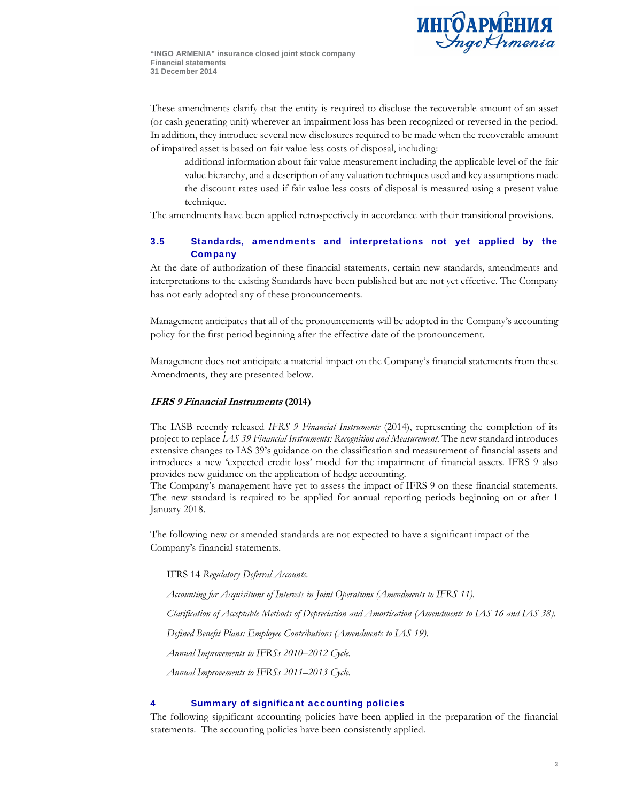

These amendments clarify that the entity is required to disclose the recoverable amount of an asset (or cash generating unit) wherever an impairment loss has been recognized or reversed in the period. In addition, they introduce several new disclosures required to be made when the recoverable amount of impaired asset is based on fair value less costs of disposal, including:

 additional information about fair value measurement including the applicable level of the fair value hierarchy, and a description of any valuation techniques used and key assumptions made the discount rates used if fair value less costs of disposal is measured using a present value technique.

The amendments have been applied retrospectively in accordance with their transitional provisions.

### 3.5 Standards, amendments and interpretations not yet applied by the **Company**

At the date of authorization of these financial statements, certain new standards, amendments and interpretations to the existing Standards have been published but are not yet effective. The Company has not early adopted any of these pronouncements.

Management anticipates that all of the pronouncements will be adopted in the Company's accounting policy for the first period beginning after the effective date of the pronouncement.

Management does not anticipate a material impact on the Company's financial statements from these Amendments, they are presented below.

### **IFRS 9 Financial Instruments (2014)**

The IASB recently released *IFRS 9 Financial Instruments* (2014), representing the completion of its project to replace *IAS 39 Financial Instruments: Recognition and Measurement.* The new standard introduces extensive changes to IAS 39's guidance on the classification and measurement of financial assets and introduces a new 'expected credit loss' model for the impairment of financial assets. IFRS 9 also provides new guidance on the application of hedge accounting.

The Company's management have yet to assess the impact of IFRS 9 on these financial statements. The new standard is required to be applied for annual reporting periods beginning on or after 1 January 2018.

The following new or amended standards are not expected to have a significant impact of the Company's financial statements.

IFRS 14 *Regulatory Deferral Accounts.* 

*Accounting for Acquisitions of Interests in Joint Operations (Amendments to IFRS 11).* 

*Clarification of Acceptable Methods of Depreciation and Amortisation (Amendments to IAS 16 and IAS 38).* 

*Defined Benefit Plans: Employee Contributions (Amendments to IAS 19).* 

*Annual Improvements to IFRSs 2010–2012 Cycle.* 

*Annual Improvements to IFRSs 2011–2013 Cycle.* 

#### 4 Summary of significant accounting policies

The following significant accounting policies have been applied in the preparation of the financial statements. The accounting policies have been consistently applied.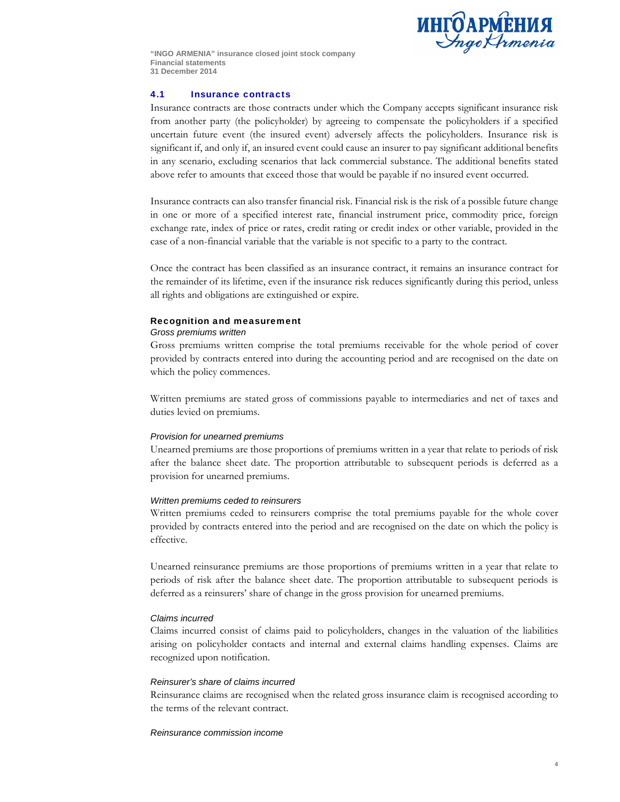

### 4.1 Insurance contracts

Insurance contracts are those contracts under which the Company accepts significant insurance risk from another party (the policyholder) by agreeing to compensate the policyholders if a specified uncertain future event (the insured event) adversely affects the policyholders. Insurance risk is significant if, and only if, an insured event could cause an insurer to pay significant additional benefits in any scenario, excluding scenarios that lack commercial substance. The additional benefits stated above refer to amounts that exceed those that would be payable if no insured event occurred.

Insurance contracts can also transfer financial risk. Financial risk is the risk of a possible future change in one or more of a specified interest rate, financial instrument price, commodity price, foreign exchange rate, index of price or rates, credit rating or credit index or other variable, provided in the case of a non-financial variable that the variable is not specific to a party to the contract.

Once the contract has been classified as an insurance contract, it remains an insurance contract for the remainder of its lifetime, even if the insurance risk reduces significantly during this period, unless all rights and obligations are extinguished or expire.

### Recognition and measurement

#### *Gross premiums written*

Gross premiums written comprise the total premiums receivable for the whole period of cover provided by contracts entered into during the accounting period and are recognised on the date on which the policy commences.

Written premiums are stated gross of commissions payable to intermediaries and net of taxes and duties levied on premiums.

### *Provision for unearned premiums*

Unearned premiums are those proportions of premiums written in a year that relate to periods of risk after the balance sheet date. The proportion attributable to subsequent periods is deferred as a provision for unearned premiums.

### *Written premiums ceded to reinsurers*

Written premiums ceded to reinsurers comprise the total premiums payable for the whole cover provided by contracts entered into the period and are recognised on the date on which the policy is effective.

Unearned reinsurance premiums are those proportions of premiums written in a year that relate to periods of risk after the balance sheet date. The proportion attributable to subsequent periods is deferred as a reinsurers' share of change in the gross provision for unearned premiums.

### *Claims incurred*

Claims incurred consist of claims paid to policyholders, changes in the valuation of the liabilities arising on policyholder contacts and internal and external claims handling expenses. Claims are recognized upon notification.

#### *Reinsurer's share of claims incurred*

Reinsurance claims are recognised when the related gross insurance claim is recognised according to the terms of the relevant contract.

#### *Reinsurance commission income*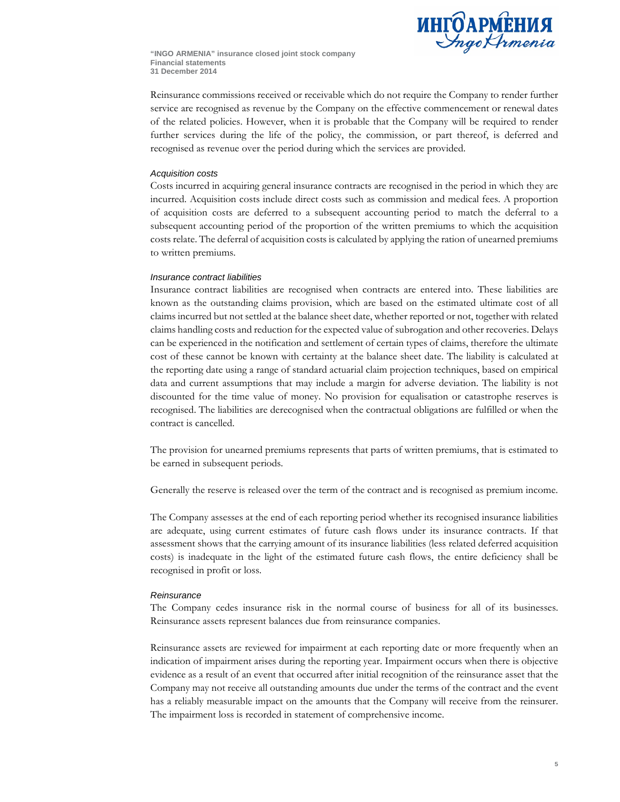

Reinsurance commissions received or receivable which do not require the Company to render further service are recognised as revenue by the Company on the effective commencement or renewal dates of the related policies. However, when it is probable that the Company will be required to render further services during the life of the policy, the commission, or part thereof, is deferred and recognised as revenue over the period during which the services are provided.

### *Acquisition costs*

Costs incurred in acquiring general insurance contracts are recognised in the period in which they are incurred. Acquisition costs include direct costs such as commission and medical fees. A proportion of acquisition costs are deferred to a subsequent accounting period to match the deferral to a subsequent accounting period of the proportion of the written premiums to which the acquisition costs relate. The deferral of acquisition costs is calculated by applying the ration of unearned premiums to written premiums.

#### *Insurance contract liabilities*

Insurance contract liabilities are recognised when contracts are entered into. These liabilities are known as the outstanding claims provision, which are based on the estimated ultimate cost of all claims incurred but not settled at the balance sheet date, whether reported or not, together with related claims handling costs and reduction for the expected value of subrogation and other recoveries. Delays can be experienced in the notification and settlement of certain types of claims, therefore the ultimate cost of these cannot be known with certainty at the balance sheet date. The liability is calculated at the reporting date using a range of standard actuarial claim projection techniques, based on empirical data and current assumptions that may include a margin for adverse deviation. The liability is not discounted for the time value of money. No provision for equalisation or catastrophe reserves is recognised. The liabilities are derecognised when the contractual obligations are fulfilled or when the contract is cancelled.

The provision for unearned premiums represents that parts of written premiums, that is estimated to be earned in subsequent periods.

Generally the reserve is released over the term of the contract and is recognised as premium income.

The Company assesses at the end of each reporting period whether its recognised insurance liabilities are adequate, using current estimates of future cash flows under its insurance contracts. If that assessment shows that the carrying amount of its insurance liabilities (less related deferred acquisition costs) is inadequate in the light of the estimated future cash flows, the entire deficiency shall be recognised in profit or loss.

#### *Reinsurance*

The Company cedes insurance risk in the normal course of business for all of its businesses. Reinsurance assets represent balances due from reinsurance companies.

Reinsurance assets are reviewed for impairment at each reporting date or more frequently when an indication of impairment arises during the reporting year. Impairment occurs when there is objective evidence as a result of an event that occurred after initial recognition of the reinsurance asset that the Company may not receive all outstanding amounts due under the terms of the contract and the event has a reliably measurable impact on the amounts that the Company will receive from the reinsurer. The impairment loss is recorded in statement of comprehensive income.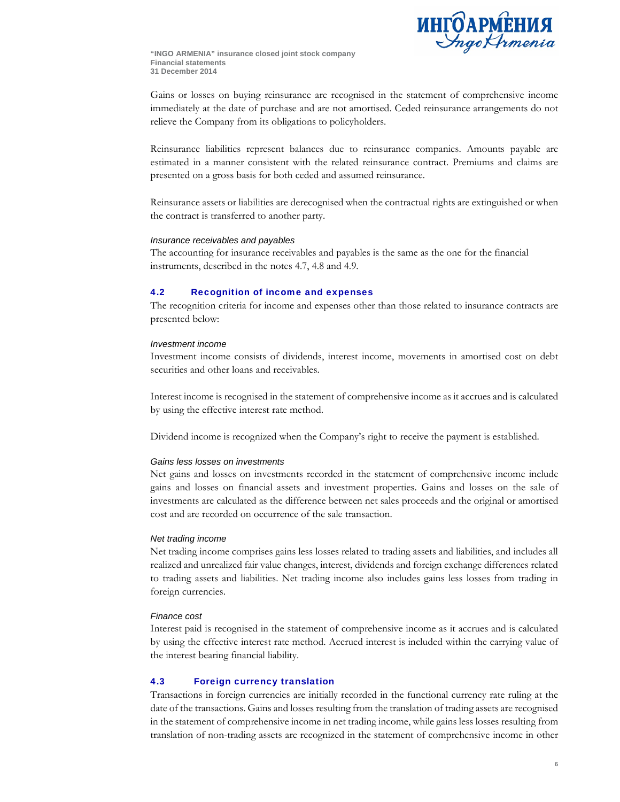

Gains or losses on buying reinsurance are recognised in the statement of comprehensive income immediately at the date of purchase and are not amortised. Ceded reinsurance arrangements do not relieve the Company from its obligations to policyholders.

Reinsurance liabilities represent balances due to reinsurance companies. Amounts payable are estimated in a manner consistent with the related reinsurance contract. Premiums and claims are presented on a gross basis for both ceded and assumed reinsurance.

Reinsurance assets or liabilities are derecognised when the contractual rights are extinguished or when the contract is transferred to another party.

#### *Insurance receivables and payables*

The accounting for insurance receivables and payables is the same as the one for the financial instruments, described in the notes 4.7, 4.8 and 4.9.

### 4.2 Recognition of income and expenses

The recognition criteria for income and expenses other than those related to insurance contracts are presented below:

### *Investment income*

Investment income consists of dividends, interest income, movements in amortised cost on debt securities and other loans and receivables.

Interest income is recognised in the statement of comprehensive income as it accrues and is calculated by using the effective interest rate method.

Dividend income is recognized when the Company's right to receive the payment is established.

#### *Gains less losses on investments*

Net gains and losses on investments recorded in the statement of comprehensive income include gains and losses on financial assets and investment properties. Gains and losses on the sale of investments are calculated as the difference between net sales proceeds and the original or amortised cost and are recorded on occurrence of the sale transaction.

### *Net trading income*

Net trading income comprises gains less losses related to trading assets and liabilities, and includes all realized and unrealized fair value changes, interest, dividends and foreign exchange differences related to trading assets and liabilities. Net trading income also includes gains less losses from trading in foreign currencies.

### *Finance cost*

Interest paid is recognised in the statement of comprehensive income as it accrues and is calculated by using the effective interest rate method. Accrued interest is included within the carrying value of the interest bearing financial liability.

### 4.3 Foreign currency translation

Transactions in foreign currencies are initially recorded in the functional currency rate ruling at the date of the transactions. Gains and losses resulting from the translation of trading assets are recognised in the statement of comprehensive income in net trading income, while gains less losses resulting from translation of non-trading assets are recognized in the statement of comprehensive income in other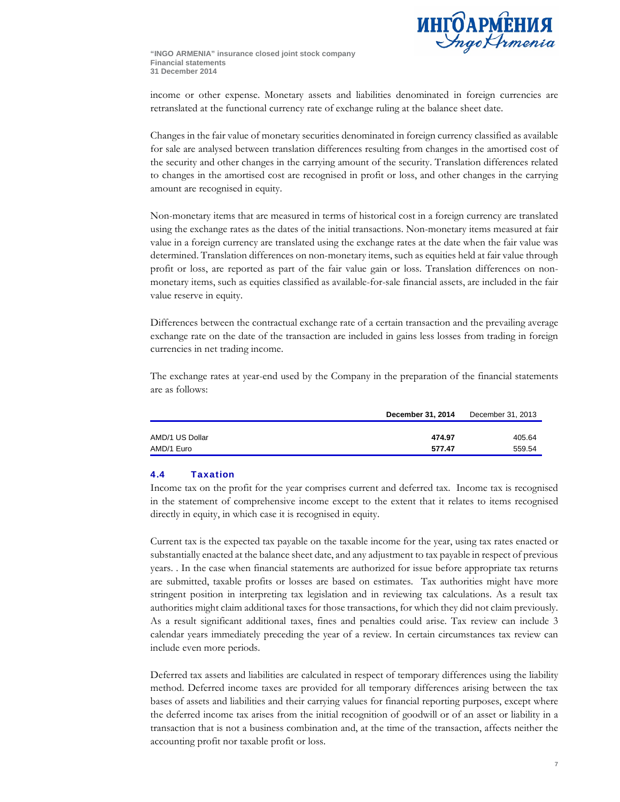

income or other expense. Monetary assets and liabilities denominated in foreign currencies are retranslated at the functional currency rate of exchange ruling at the balance sheet date.

Changes in the fair value of monetary securities denominated in foreign currency classified as available for sale are analysed between translation differences resulting from changes in the amortised cost of the security and other changes in the carrying amount of the security. Translation differences related to changes in the amortised cost are recognised in profit or loss, and other changes in the carrying amount are recognised in equity.

Non-monetary items that are measured in terms of historical cost in a foreign currency are translated using the exchange rates as the dates of the initial transactions. Non-monetary items measured at fair value in a foreign currency are translated using the exchange rates at the date when the fair value was determined. Translation differences on non-monetary items, such as equities held at fair value through profit or loss, are reported as part of the fair value gain or loss. Translation differences on nonmonetary items, such as equities classified as available-for-sale financial assets, are included in the fair value reserve in equity.

Differences between the contractual exchange rate of a certain transaction and the prevailing average exchange rate on the date of the transaction are included in gains less losses from trading in foreign currencies in net trading income.

The exchange rates at year-end used by the Company in the preparation of the financial statements are as follows:

|                 | December 31, 2014 | December 31, 2013 |
|-----------------|-------------------|-------------------|
|                 |                   |                   |
| AMD/1 US Dollar | 474.97            | 405.64            |
| AMD/1 Euro      | 577.47            | 559.54            |
|                 |                   |                   |

### 4.4 Taxation

Income tax on the profit for the year comprises current and deferred tax. Income tax is recognised in the statement of comprehensive income except to the extent that it relates to items recognised directly in equity, in which case it is recognised in equity.

Current tax is the expected tax payable on the taxable income for the year, using tax rates enacted or substantially enacted at the balance sheet date, and any adjustment to tax payable in respect of previous years. . In the case when financial statements are authorized for issue before appropriate tax returns are submitted, taxable profits or losses are based on estimates. Tax authorities might have more stringent position in interpreting tax legislation and in reviewing tax calculations. As a result tax authorities might claim additional taxes for those transactions, for which they did not claim previously. As a result significant additional taxes, fines and penalties could arise. Tax review can include 3 calendar years immediately preceding the year of a review. In certain circumstances tax review can include even more periods.

Deferred tax assets and liabilities are calculated in respect of temporary differences using the liability method. Deferred income taxes are provided for all temporary differences arising between the tax bases of assets and liabilities and their carrying values for financial reporting purposes, except where the deferred income tax arises from the initial recognition of goodwill or of an asset or liability in a transaction that is not a business combination and, at the time of the transaction, affects neither the accounting profit nor taxable profit or loss.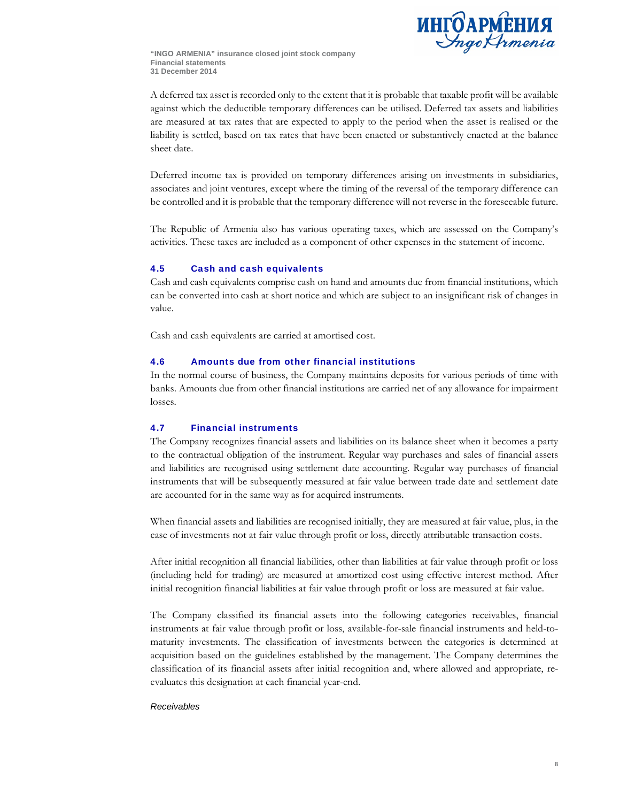

A deferred tax asset is recorded only to the extent that it is probable that taxable profit will be available against which the deductible temporary differences can be utilised. Deferred tax assets and liabilities are measured at tax rates that are expected to apply to the period when the asset is realised or the liability is settled, based on tax rates that have been enacted or substantively enacted at the balance sheet date.

Deferred income tax is provided on temporary differences arising on investments in subsidiaries, associates and joint ventures, except where the timing of the reversal of the temporary difference can be controlled and it is probable that the temporary difference will not reverse in the foreseeable future.

The Republic of Armenia also has various operating taxes, which are assessed on the Company's activities. These taxes are included as a component of other expenses in the statement of income.

### 4.5 Cash and cash equivalents

Cash and cash equivalents comprise cash on hand and amounts due from financial institutions, which can be converted into cash at short notice and which are subject to an insignificant risk of changes in value.

Cash and cash equivalents are carried at amortised cost.

### 4.6 Amounts due from other financial institutions

In the normal course of business, the Company maintains deposits for various periods of time with banks. Amounts due from other financial institutions are carried net of any allowance for impairment losses.

### 4.7 Financial instruments

The Company recognizes financial assets and liabilities on its balance sheet when it becomes a party to the contractual obligation of the instrument. Regular way purchases and sales of financial assets and liabilities are recognised using settlement date accounting. Regular way purchases of financial instruments that will be subsequently measured at fair value between trade date and settlement date are accounted for in the same way as for acquired instruments.

When financial assets and liabilities are recognised initially, they are measured at fair value, plus, in the case of investments not at fair value through profit or loss, directly attributable transaction costs.

After initial recognition all financial liabilities, other than liabilities at fair value through profit or loss (including held for trading) are measured at amortized cost using effective interest method. After initial recognition financial liabilities at fair value through profit or loss are measured at fair value.

The Company classified its financial assets into the following categories receivables, financial instruments at fair value through profit or loss, available-for-sale financial instruments and held-tomaturity investments. The classification of investments between the categories is determined at acquisition based on the guidelines established by the management. The Company determines the classification of its financial assets after initial recognition and, where allowed and appropriate, reevaluates this designation at each financial year-end.

### *Receivables*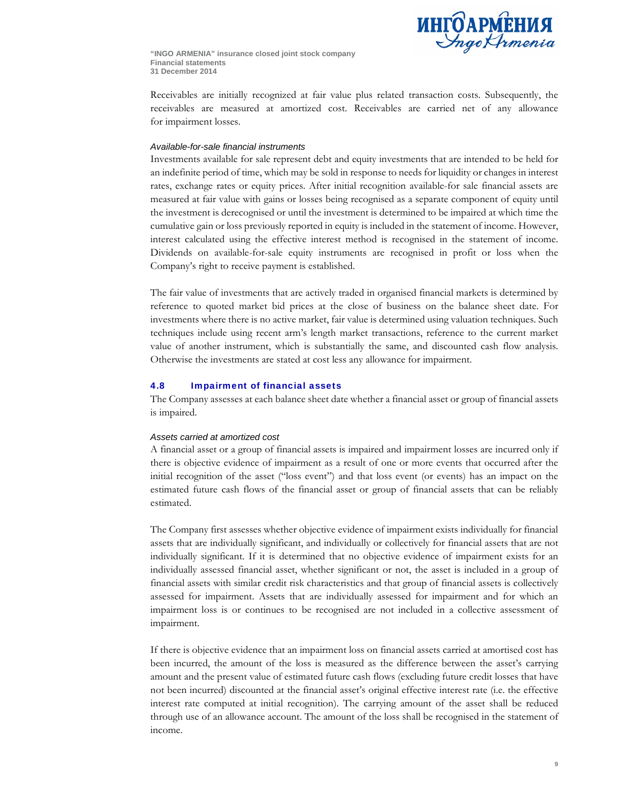

Receivables are initially recognized at fair value plus related transaction costs. Subsequently, the receivables are measured at amortized cost. Receivables are carried net of any allowance for impairment losses.

### *Available-for-sale financial instruments*

Investments available for sale represent debt and equity investments that are intended to be held for an indefinite period of time, which may be sold in response to needs for liquidity or changes in interest rates, exchange rates or equity prices. After initial recognition available-for sale financial assets are measured at fair value with gains or losses being recognised as a separate component of equity until the investment is derecognised or until the investment is determined to be impaired at which time the cumulative gain or loss previously reported in equity is included in the statement of income. However, interest calculated using the effective interest method is recognised in the statement of income. Dividends on available-for-sale equity instruments are recognised in profit or loss when the Company's right to receive payment is established.

The fair value of investments that are actively traded in organised financial markets is determined by reference to quoted market bid prices at the close of business on the balance sheet date. For investments where there is no active market, fair value is determined using valuation techniques. Such techniques include using recent arm's length market transactions, reference to the current market value of another instrument, which is substantially the same, and discounted cash flow analysis. Otherwise the investments are stated at cost less any allowance for impairment.

### 4.8 Impairment of financial assets

The Company assesses at each balance sheet date whether a financial asset or group of financial assets is impaired.

### *Assets carried at amortized cost*

A financial asset or a group of financial assets is impaired and impairment losses are incurred only if there is objective evidence of impairment as a result of one or more events that occurred after the initial recognition of the asset ("loss event") and that loss event (or events) has an impact on the estimated future cash flows of the financial asset or group of financial assets that can be reliably estimated.

The Company first assesses whether objective evidence of impairment exists individually for financial assets that are individually significant, and individually or collectively for financial assets that are not individually significant. If it is determined that no objective evidence of impairment exists for an individually assessed financial asset, whether significant or not, the asset is included in a group of financial assets with similar credit risk characteristics and that group of financial assets is collectively assessed for impairment. Assets that are individually assessed for impairment and for which an impairment loss is or continues to be recognised are not included in a collective assessment of impairment.

If there is objective evidence that an impairment loss on financial assets carried at amortised cost has been incurred, the amount of the loss is measured as the difference between the asset's carrying amount and the present value of estimated future cash flows (excluding future credit losses that have not been incurred) discounted at the financial asset's original effective interest rate (i.e. the effective interest rate computed at initial recognition). The carrying amount of the asset shall be reduced through use of an allowance account. The amount of the loss shall be recognised in the statement of income.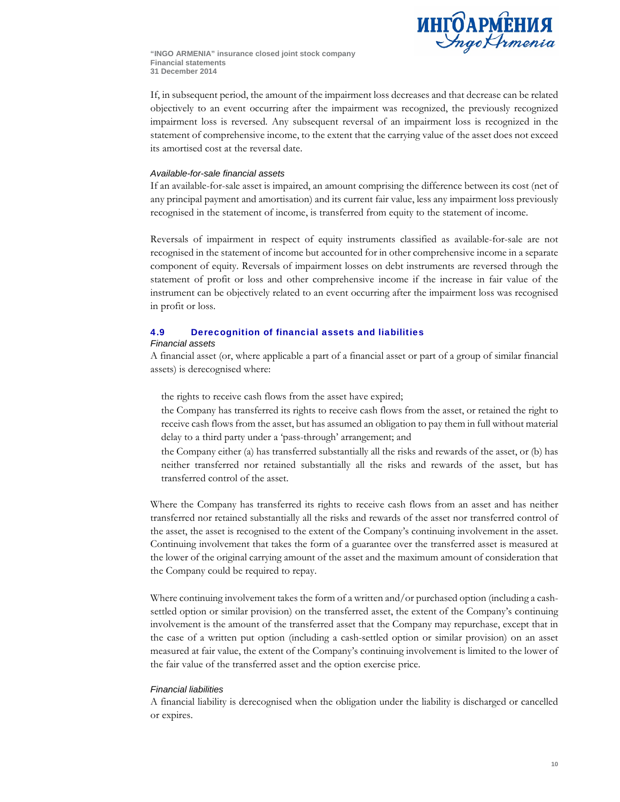

If, in subsequent period, the amount of the impairment loss decreases and that decrease can be related objectively to an event occurring after the impairment was recognized, the previously recognized impairment loss is reversed. Any subsequent reversal of an impairment loss is recognized in the statement of comprehensive income, to the extent that the carrying value of the asset does not exceed its amortised cost at the reversal date.

### *Available-for-sale financial assets*

If an available-for-sale asset is impaired, an amount comprising the difference between its cost (net of any principal payment and amortisation) and its current fair value, less any impairment loss previously recognised in the statement of income, is transferred from equity to the statement of income.

Reversals of impairment in respect of equity instruments classified as available-for-sale are not recognised in the statement of income but accounted for in other comprehensive income in a separate component of equity. Reversals of impairment losses on debt instruments are reversed through the statement of profit or loss and other comprehensive income if the increase in fair value of the instrument can be objectively related to an event occurring after the impairment loss was recognised in profit or loss.

## 4.9 Derecognition of financial assets and liabilities

### *Financial assets*

A financial asset (or, where applicable a part of a financial asset or part of a group of similar financial assets) is derecognised where:

the rights to receive cash flows from the asset have expired;

- the Company has transferred its rights to receive cash flows from the asset, or retained the right to receive cash flows from the asset, but has assumed an obligation to pay them in full without material delay to a third party under a 'pass-through' arrangement; and
- the Company either (a) has transferred substantially all the risks and rewards of the asset, or (b) has neither transferred nor retained substantially all the risks and rewards of the asset, but has transferred control of the asset.

Where the Company has transferred its rights to receive cash flows from an asset and has neither transferred nor retained substantially all the risks and rewards of the asset nor transferred control of the asset, the asset is recognised to the extent of the Company's continuing involvement in the asset. Continuing involvement that takes the form of a guarantee over the transferred asset is measured at the lower of the original carrying amount of the asset and the maximum amount of consideration that the Company could be required to repay.

Where continuing involvement takes the form of a written and/or purchased option (including a cashsettled option or similar provision) on the transferred asset, the extent of the Company's continuing involvement is the amount of the transferred asset that the Company may repurchase, except that in the case of a written put option (including a cash-settled option or similar provision) on an asset measured at fair value, the extent of the Company's continuing involvement is limited to the lower of the fair value of the transferred asset and the option exercise price.

### *Financial liabilities*

A financial liability is derecognised when the obligation under the liability is discharged or cancelled or expires.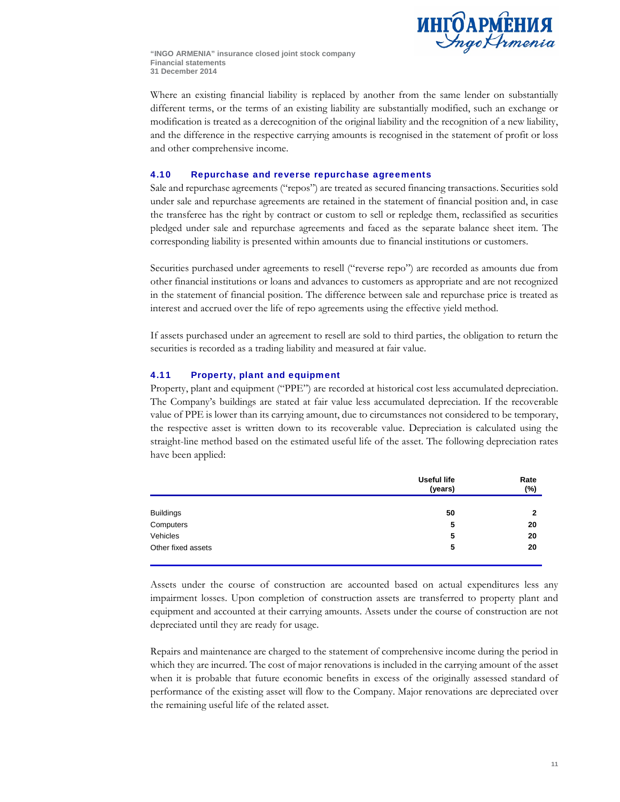

Where an existing financial liability is replaced by another from the same lender on substantially different terms, or the terms of an existing liability are substantially modified, such an exchange or modification is treated as a derecognition of the original liability and the recognition of a new liability, and the difference in the respective carrying amounts is recognised in the statement of profit or loss and other comprehensive income.

### 4.10 Repurchase and reverse repurchase agreements

Sale and repurchase agreements ("repos") are treated as secured financing transactions. Securities sold under sale and repurchase agreements are retained in the statement of financial position and, in case the transferee has the right by contract or custom to sell or repledge them, reclassified as securities pledged under sale and repurchase agreements and faced as the separate balance sheet item. The corresponding liability is presented within amounts due to financial institutions or customers.

Securities purchased under agreements to resell ("reverse repo") are recorded as amounts due from other financial institutions or loans and advances to customers as appropriate and are not recognized in the statement of financial position. The difference between sale and repurchase price is treated as interest and accrued over the life of repo agreements using the effective yield method.

If assets purchased under an agreement to resell are sold to third parties, the obligation to return the securities is recorded as a trading liability and measured at fair value.

### 4.11 Property, plant and equipment

Property, plant and equipment ("PPE") are recorded at historical cost less accumulated depreciation. The Company's buildings are stated at fair value less accumulated depreciation. If the recoverable value of PPE is lower than its carrying amount, due to circumstances not considered to be temporary, the respective asset is written down to its recoverable value. Depreciation is calculated using the straight-line method based on the estimated useful life of the asset. The following depreciation rates have been applied:

|                    | Useful life<br>(years) | Rate<br>(%) |
|--------------------|------------------------|-------------|
|                    |                        |             |
| <b>Buildings</b>   | 50                     | າ           |
| Computers          | 5                      | 20          |
| Vehicles           | 5                      | 20          |
| Other fixed assets | 5                      | 20          |

Assets under the course of construction are accounted based on actual expenditures less any impairment losses. Upon completion of construction assets are transferred to property plant and equipment and accounted at their carrying amounts. Assets under the course of construction are not depreciated until they are ready for usage.

Repairs and maintenance are charged to the statement of comprehensive income during the period in which they are incurred. The cost of major renovations is included in the carrying amount of the asset when it is probable that future economic benefits in excess of the originally assessed standard of performance of the existing asset will flow to the Company. Major renovations are depreciated over the remaining useful life of the related asset.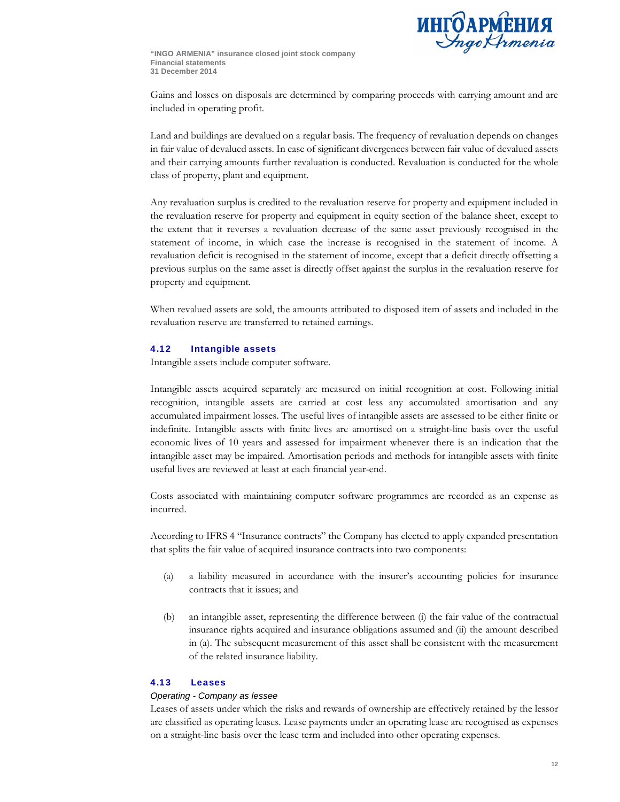

Gains and losses on disposals are determined by comparing proceeds with carrying amount and are included in operating profit.

Land and buildings are devalued on a regular basis. The frequency of revaluation depends on changes in fair value of devalued assets. In case of significant divergences between fair value of devalued assets and their carrying amounts further revaluation is conducted. Revaluation is conducted for the whole class of property, plant and equipment.

Any revaluation surplus is credited to the revaluation reserve for property and equipment included in the revaluation reserve for property and equipment in equity section of the balance sheet, except to the extent that it reverses a revaluation decrease of the same asset previously recognised in the statement of income, in which case the increase is recognised in the statement of income. A revaluation deficit is recognised in the statement of income, except that a deficit directly offsetting a previous surplus on the same asset is directly offset against the surplus in the revaluation reserve for property and equipment.

When revalued assets are sold, the amounts attributed to disposed item of assets and included in the revaluation reserve are transferred to retained earnings.

### 4.12 Intangible assets

Intangible assets include computer software.

Intangible assets acquired separately are measured on initial recognition at cost. Following initial recognition, intangible assets are carried at cost less any accumulated amortisation and any accumulated impairment losses. The useful lives of intangible assets are assessed to be either finite or indefinite. Intangible assets with finite lives are amortised on a straight-line basis over the useful economic lives of 10 years and assessed for impairment whenever there is an indication that the intangible asset may be impaired. Amortisation periods and methods for intangible assets with finite useful lives are reviewed at least at each financial year-end.

Costs associated with maintaining computer software programmes are recorded as an expense as incurred.

According to IFRS 4 "Insurance contracts" the Company has elected to apply expanded presentation that splits the fair value of acquired insurance contracts into two components:

- (a) a liability measured in accordance with the insurer's accounting policies for insurance contracts that it issues; and
- (b) an intangible asset, representing the difference between (i) the fair value of the contractual insurance rights acquired and insurance obligations assumed and (ii) the amount described in (a). The subsequent measurement of this asset shall be consistent with the measurement of the related insurance liability.

### 4.13 Leases

#### *Operating - Company as lessee*

Leases of assets under which the risks and rewards of ownership are effectively retained by the lessor are classified as operating leases. Lease payments under an operating lease are recognised as expenses on a straight-line basis over the lease term and included into other operating expenses.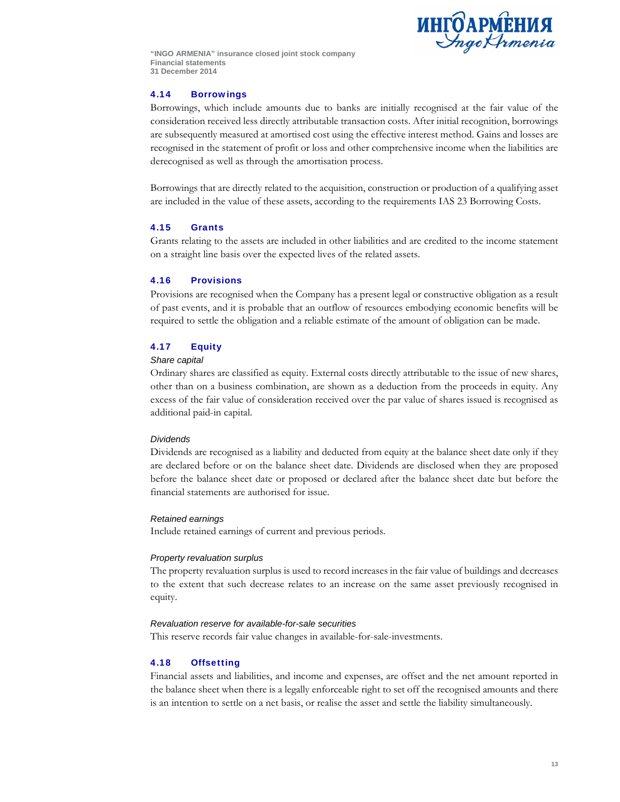

### 4.14 Borrowings

Borrowings, which include amounts due to banks are initially recognised at the fair value of the consideration received less directly attributable transaction costs. After initial recognition, borrowings are subsequently measured at amortised cost using the effective interest method. Gains and losses are recognised in the statement of profit or loss and other comprehensive income when the liabilities are derecognised as well as through the amortisation process.

Borrowings that are directly related to the acquisition, construction or production of a qualifying asset are included in the value of these assets, according to the requirements IAS 23 Borrowing Costs.

### 4.15 Grants

Grants relating to the assets are included in other liabilities and are credited to the income statement on a straight line basis over the expected lives of the related assets.

#### 4.16 Provisions

Provisions are recognised when the Company has a present legal or constructive obligation as a result of past events, and it is probable that an outflow of resources embodying economic benefits will be required to settle the obligation and a reliable estimate of the amount of obligation can be made.

### 4.17 Equity

### *Share capital*

Ordinary shares are classified as equity. External costs directly attributable to the issue of new shares, other than on a business combination, are shown as a deduction from the proceeds in equity. Any excess of the fair value of consideration received over the par value of shares issued is recognised as additional paid-in capital.

### *Dividends*

Dividends are recognised as a liability and deducted from equity at the balance sheet date only if they are declared before or on the balance sheet date. Dividends are disclosed when they are proposed before the balance sheet date or proposed or declared after the balance sheet date but before the financial statements are authorised for issue.

#### *Retained earnings*

Include retained earnings of current and previous periods.

#### *Property revaluation surplus*

The property revaluation surplus is used to record increases in the fair value of buildings and decreases to the extent that such decrease relates to an increase on the same asset previously recognised in equity.

### *Revaluation reserve for available-for-sale securities*

This reserve records fair value changes in available-for-sale-investments.

### 4.18 Offsetting

Financial assets and liabilities, and income and expenses, are offset and the net amount reported in the balance sheet when there is a legally enforceable right to set off the recognised amounts and there is an intention to settle on a net basis, or realise the asset and settle the liability simultaneously.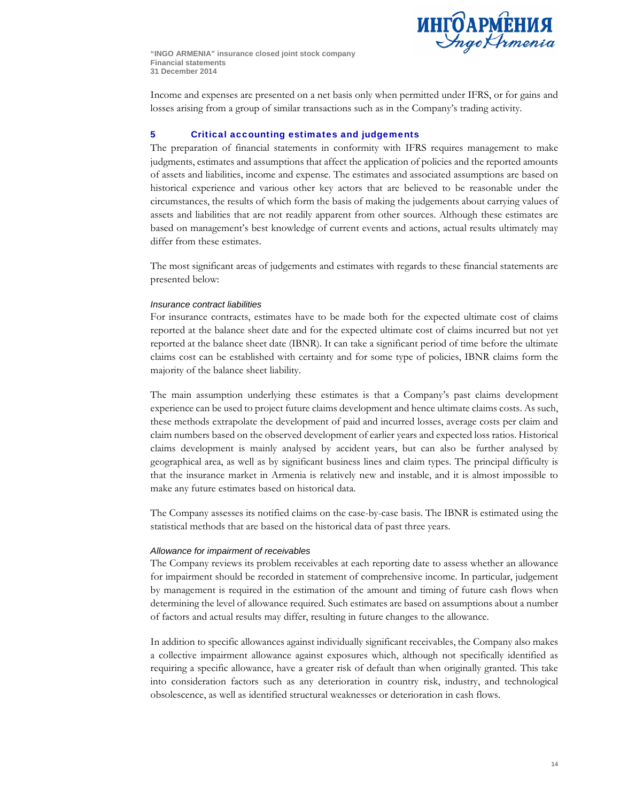

Income and expenses are presented on a net basis only when permitted under IFRS, or for gains and losses arising from a group of similar transactions such as in the Company's trading activity.

### 5 Critical accounting estimates and judgements

The preparation of financial statements in conformity with IFRS requires management to make judgments, estimates and assumptions that affect the application of policies and the reported amounts of assets and liabilities, income and expense. The estimates and associated assumptions are based on historical experience and various other key actors that are believed to be reasonable under the circumstances, the results of which form the basis of making the judgements about carrying values of assets and liabilities that are not readily apparent from other sources. Although these estimates are based on management's best knowledge of current events and actions, actual results ultimately may differ from these estimates.

The most significant areas of judgements and estimates with regards to these financial statements are presented below:

### *Insurance contract liabilities*

For insurance contracts, estimates have to be made both for the expected ultimate cost of claims reported at the balance sheet date and for the expected ultimate cost of claims incurred but not yet reported at the balance sheet date (IBNR). It can take a significant period of time before the ultimate claims cost can be established with certainty and for some type of policies, IBNR claims form the majority of the balance sheet liability.

The main assumption underlying these estimates is that a Company's past claims development experience can be used to project future claims development and hence ultimate claims costs. As such, these methods extrapolate the development of paid and incurred losses, average costs per claim and claim numbers based on the observed development of earlier years and expected loss ratios. Historical claims development is mainly analysed by accident years, but can also be further analysed by geographical area, as well as by significant business lines and claim types. The principal difficulty is that the insurance market in Armenia is relatively new and instable, and it is almost impossible to make any future estimates based on historical data.

The Company assesses its notified claims on the case-by-case basis. The IBNR is estimated using the statistical methods that are based on the historical data of past three years.

### *Allowance for impairment of receivables*

The Company reviews its problem receivables at each reporting date to assess whether an allowance for impairment should be recorded in statement of comprehensive income. In particular, judgement by management is required in the estimation of the amount and timing of future cash flows when determining the level of allowance required. Such estimates are based on assumptions about a number of factors and actual results may differ, resulting in future changes to the allowance.

In addition to specific allowances against individually significant receivables, the Company also makes a collective impairment allowance against exposures which, although not specifically identified as requiring a specific allowance, have a greater risk of default than when originally granted. This take into consideration factors such as any deterioration in country risk, industry, and technological obsolescence, as well as identified structural weaknesses or deterioration in cash flows.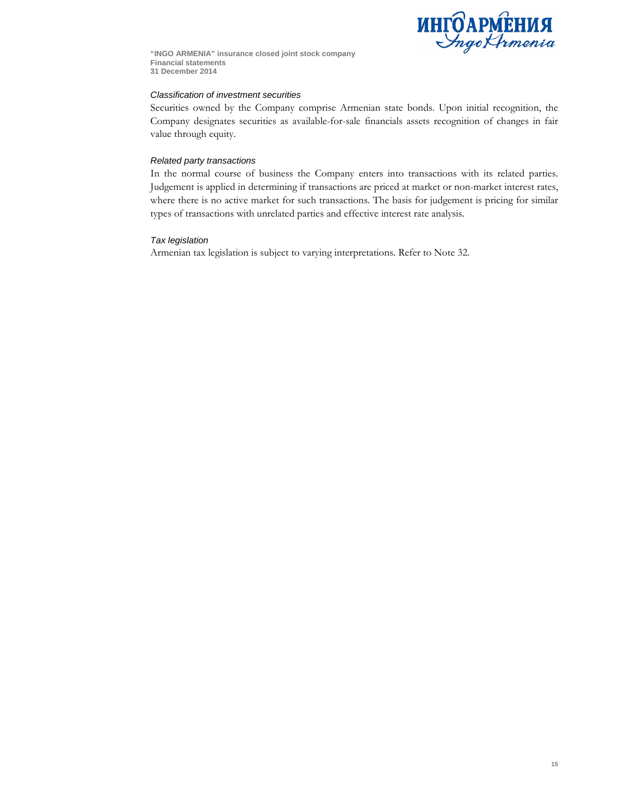

### *Classification of investment securities*

Securities owned by the Company comprise Armenian state bonds. Upon initial recognition, the Company designates securities as available-for-sale financials assets recognition of changes in fair value through equity.

### *Related party transactions*

In the normal course of business the Company enters into transactions with its related parties. Judgement is applied in determining if transactions are priced at market or non-market interest rates, where there is no active market for such transactions. The basis for judgement is pricing for similar types of transactions with unrelated parties and effective interest rate analysis.

### *Tax legislation*

Armenian tax legislation is subject to varying interpretations. Refer to Note 32.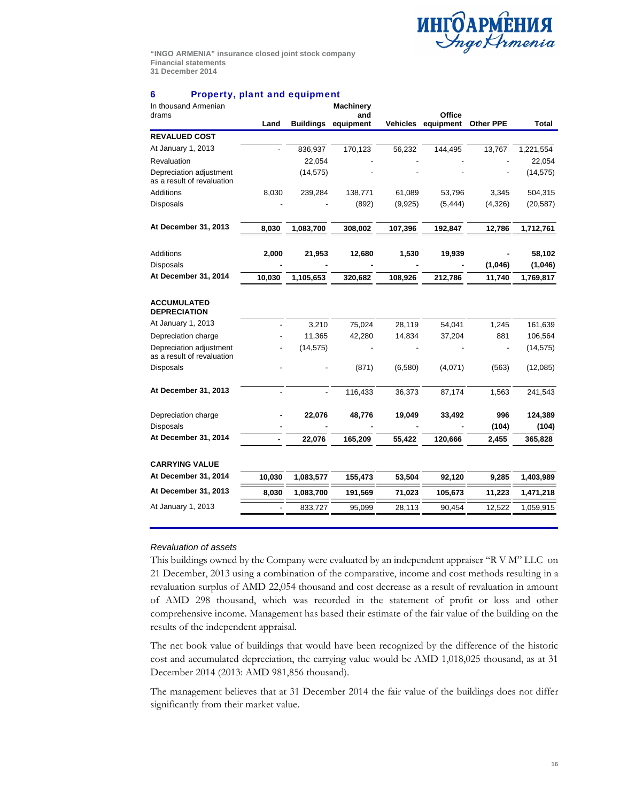

### 6 Property, plant and equipment

| In thousand Armenian                                  |        |           | <b>Machinery</b>                  |         |                              |                  |           |
|-------------------------------------------------------|--------|-----------|-----------------------------------|---------|------------------------------|------------------|-----------|
| drams                                                 | Land   |           | and<br><b>Buildings equipment</b> |         | Office<br>Vehicles equipment | <b>Other PPE</b> | Total     |
| <b>REVALUED COST</b>                                  |        |           |                                   |         |                              |                  |           |
| At January 1, 2013                                    |        | 836,937   | 170,123                           | 56,232  | 144,495                      | 13,767           | 1,221,554 |
| Revaluation                                           |        | 22,054    |                                   |         |                              |                  | 22,054    |
| Depreciation adjustment<br>as a result of revaluation |        | (14, 575) |                                   |         |                              |                  | (14, 575) |
| Additions                                             | 8,030  | 239,284   | 138,771                           | 61,089  | 53,796                       | 3,345            | 504,315   |
| <b>Disposals</b>                                      |        |           | (892)                             | (9,925) | (5, 444)                     | (4,326)          | (20, 587) |
| At December 31, 2013                                  | 8,030  | 1,083,700 | 308,002                           | 107,396 | 192,847                      | 12,786           | 1,712,761 |
| Additions                                             | 2,000  | 21,953    | 12,680                            | 1,530   | 19,939                       |                  | 58,102    |
| <b>Disposals</b>                                      |        |           |                                   |         |                              | (1,046)          | (1,046)   |
| At December 31, 2014                                  | 10,030 | 1,105,653 | 320,682                           | 108,926 | 212,786                      | 11,740           | 1,769,817 |
| <b>ACCUMULATED</b><br><b>DEPRECIATION</b>             |        |           |                                   |         |                              |                  |           |
| At January 1, 2013                                    |        | 3,210     | 75,024                            | 28,119  | 54,041                       | 1,245            | 161,639   |
| Depreciation charge                                   |        | 11,365    | 42,280                            | 14,834  | 37,204                       | 881              | 106,564   |
| Depreciation adjustment<br>as a result of revaluation |        | (14, 575) |                                   |         |                              |                  | (14, 575) |
| <b>Disposals</b>                                      |        |           | (871)                             | (6,580) | (4,071)                      | (563)            | (12,085)  |
| At December 31, 2013                                  |        |           | 116,433                           | 36,373  | 87,174                       | 1,563            | 241,543   |
| Depreciation charge                                   |        | 22,076    | 48,776                            | 19,049  | 33,492                       | 996              | 124,389   |
| <b>Disposals</b>                                      |        |           |                                   |         |                              | (104)            | (104)     |
| At December 31, 2014                                  |        | 22,076    | 165,209                           | 55,422  | 120,666                      | 2,455            | 365,828   |
| <b>CARRYING VALUE</b>                                 |        |           |                                   |         |                              |                  |           |
| At December 31, 2014                                  | 10,030 | 1,083,577 | 155,473                           | 53,504  | 92,120                       | 9,285            | 1,403,989 |
| At December 31, 2013                                  | 8,030  | 1,083,700 | 191,569                           | 71,023  | 105,673                      | 11,223           | 1,471,218 |
| At January 1, 2013                                    |        | 833,727   | 95,099                            | 28,113  | 90,454                       | 12,522           | 1,059,915 |
|                                                       |        |           |                                   |         |                              |                  |           |

#### *Revaluation of assets*

This buildings owned by the Company were evaluated by an independent appraiser "R V M" LLC on 21 December, 2013 using a combination of the comparative, income and cost methods resulting in a revaluation surplus of AMD 22,054 thousand and cost decrease as a result of revaluation in amount of AMD 298 thousand, which was recorded in the statement of profit or loss and other comprehensive income. Management has based their estimate of the fair value of the building on the results of the independent appraisal.

The net book value of buildings that would have been recognized by the difference of the historic cost and accumulated depreciation, the carrying value would be AMD 1,018,025 thousand, as at 31 December 2014 (2013: AMD 981,856 thousand).

The management believes that at 31 December 2014 the fair value of the buildings does not differ significantly from their market value.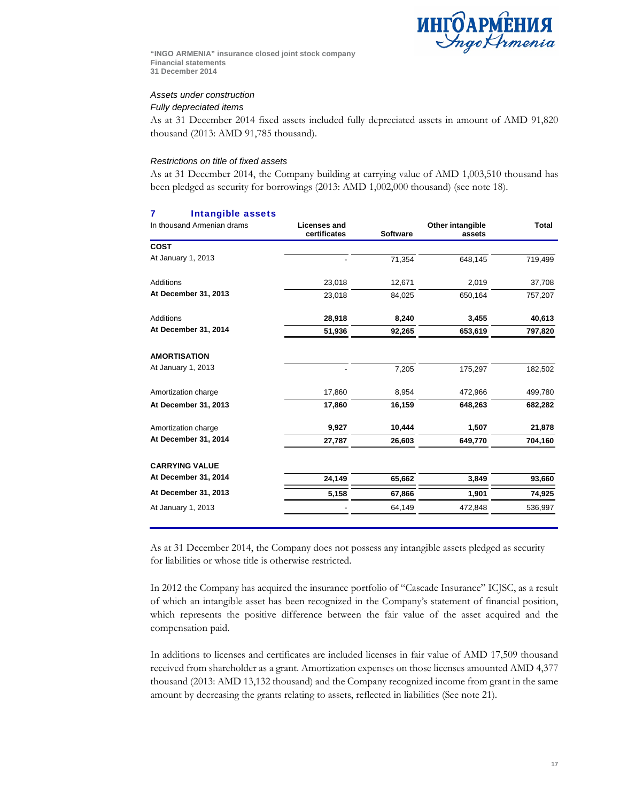

### *Assets under construction*

### *Fully depreciated items*

As at 31 December 2014 fixed assets included fully depreciated assets in amount of AMD 91,820 thousand (2013: AMD 91,785 thousand).

### *Restrictions on title of fixed assets*

As at 31 December 2014, the Company building at carrying value of AMD 1,003,510 thousand has been pledged as security for borrowings (2013: AMD 1,002,000 thousand) (see note 18).

### 7 Intangible assets

| In thousand Armenian drams | <b>Licenses and</b><br>certificates | <b>Software</b> | Other intangible<br>assets | <b>Total</b> |
|----------------------------|-------------------------------------|-----------------|----------------------------|--------------|
| <b>COST</b>                |                                     |                 |                            |              |
| At January 1, 2013         |                                     | 71,354          | 648,145                    | 719,499      |
| <b>Additions</b>           | 23,018                              | 12,671          | 2,019                      | 37,708       |
| At December 31, 2013       | 23,018                              | 84,025          | 650,164                    | 757,207      |
| Additions                  | 28,918                              | 8,240           | 3,455                      | 40,613       |
| At December 31, 2014       | 51,936                              | 92,265          | 653,619                    | 797,820      |
| <b>AMORTISATION</b>        |                                     |                 |                            |              |
| At January 1, 2013         |                                     | 7,205           | 175,297                    | 182,502      |
| Amortization charge        | 17,860                              | 8,954           | 472,966                    | 499,780      |
| At December 31, 2013       | 17,860                              | 16,159          | 648,263                    | 682,282      |
| Amortization charge        | 9,927                               | 10,444          | 1,507                      | 21,878       |
| At December 31, 2014       | 27,787                              | 26,603          | 649,770                    | 704,160      |
| <b>CARRYING VALUE</b>      |                                     |                 |                            |              |
| At December 31, 2014       | 24,149                              | 65,662          | 3,849                      | 93,660       |
| At December 31, 2013       | 5,158                               | 67,866          | 1,901                      | 74,925       |
| At January 1, 2013         |                                     | 64,149          | 472,848                    | 536,997      |

As at 31 December 2014, the Company does not possess any intangible assets pledged as security for liabilities or whose title is otherwise restricted.

In 2012 the Company has acquired the insurance portfolio of "Cascade Insurance" ICJSC, as a result of which an intangible asset has been recognized in the Company's statement of financial position, which represents the positive difference between the fair value of the asset acquired and the compensation paid.

In additions to licenses and certificates are included licenses in fair value of AMD 17,509 thousand received from shareholder as a grant. Amortization expenses on those licenses amounted AMD 4,377 thousand (2013: AMD 13,132 thousand) and the Company recognized income from grant in the same amount by decreasing the grants relating to assets, reflected in liabilities (See note 21).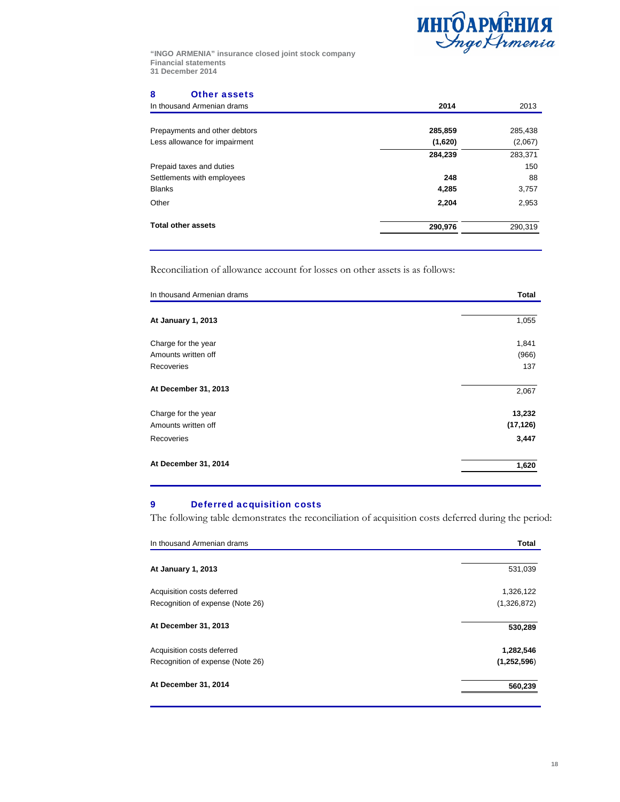

### 8 Other assets

| In thousand Armenian drams    | 2014    | 2013    |
|-------------------------------|---------|---------|
|                               |         |         |
| Prepayments and other debtors | 285,859 | 285,438 |
| Less allowance for impairment | (1,620) | (2,067) |
|                               | 284,239 | 283,371 |
| Prepaid taxes and duties      |         | 150     |
| Settlements with employees    | 248     | 88      |
| <b>Blanks</b>                 | 4,285   | 3,757   |
| Other                         | 2,204   | 2,953   |
| <b>Total other assets</b>     | 290,976 | 290,319 |

Reconciliation of allowance account for losses on other assets is as follows:

| In thousand Armenian drams | <b>Total</b> |
|----------------------------|--------------|
| At January 1, 2013         | 1,055        |
| Charge for the year        | 1,841        |
| Amounts written off        | (966)        |
| Recoveries                 | 137          |
| At December 31, 2013       | 2,067        |
| Charge for the year        | 13,232       |
| Amounts written off        | (17, 126)    |
| Recoveries                 | 3,447        |
| At December 31, 2014       | 1,620        |

### 9 Deferred acquisition costs

The following table demonstrates the reconciliation of acquisition costs deferred during the period:

| In thousand Armenian drams       | Total       |
|----------------------------------|-------------|
| At January 1, 2013               | 531,039     |
| Acquisition costs deferred       | 1,326,122   |
| Recognition of expense (Note 26) | (1,326,872) |
| At December 31, 2013             | 530,289     |
| Acquisition costs deferred       | 1,282,546   |
| Recognition of expense (Note 26) | (1,252,596) |
| At December 31, 2014             | 560,239     |
|                                  |             |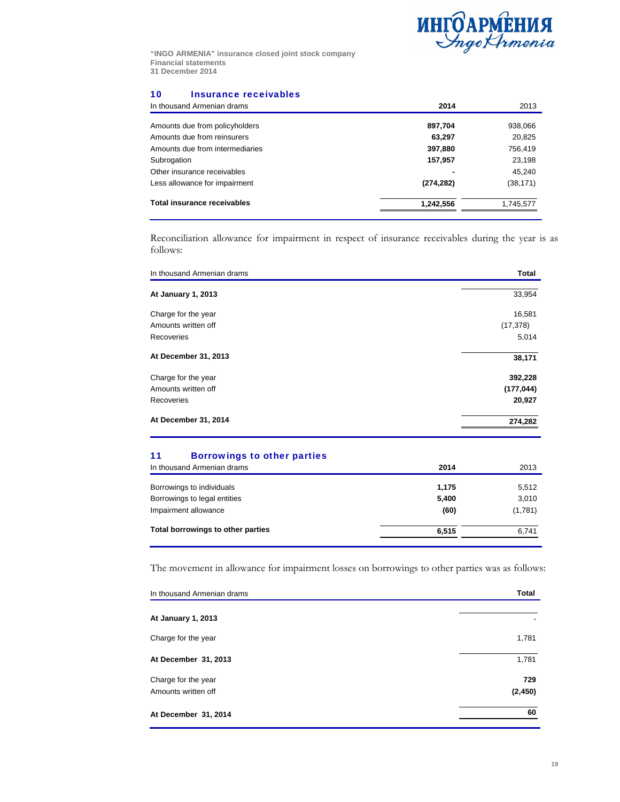

### 10 Insurance receivables

| In thousand Armenian drams         | 2014       | 2013      |
|------------------------------------|------------|-----------|
|                                    |            |           |
| Amounts due from policyholders     | 897,704    | 938,066   |
| Amounts due from reinsurers        | 63,297     | 20,825    |
| Amounts due from intermediaries    | 397,880    | 756,419   |
| Subrogation                        | 157,957    | 23,198    |
| Other insurance receivables        |            | 45,240    |
| Less allowance for impairment      | (274, 282) | (38, 171) |
| <b>Total insurance receivables</b> | 1,242,556  | 1,745,577 |

Reconciliation allowance for impairment in respect of insurance receivables during the year is as follows:

| In thousand Armenian drams | <b>Total</b> |
|----------------------------|--------------|
| <b>At January 1, 2013</b>  | 33,954       |
| Charge for the year        | 16,581       |
| Amounts written off        | (17, 378)    |
| Recoveries                 | 5,014        |
| At December 31, 2013       | 38,171       |
| Charge for the year        | 392,228      |
| Amounts written off        | (177, 044)   |
| Recoveries                 | 20,927       |
| At December 31, 2014       | 274,282      |

### 11 Borrowings to other parties

| In thousand Armenian drams        | 2014  | 2013    |
|-----------------------------------|-------|---------|
| Borrowings to individuals         | 1,175 | 5.512   |
| Borrowings to legal entities      | 5,400 | 3,010   |
| Impairment allowance              | (60)  | (1,781) |
| Total borrowings to other parties | 6,515 | 6,741   |
|                                   |       |         |

The movement in allowance for impairment losses on borrowings to other parties was as follows:

| In thousand Armenian drams | <b>Total</b> |
|----------------------------|--------------|
| At January 1, 2013         |              |
| Charge for the year        | 1,781        |
| At December 31, 2013       | 1,781        |
| Charge for the year        | 729          |
| Amounts written off        | (2, 450)     |
| At December 31, 2014       | 60           |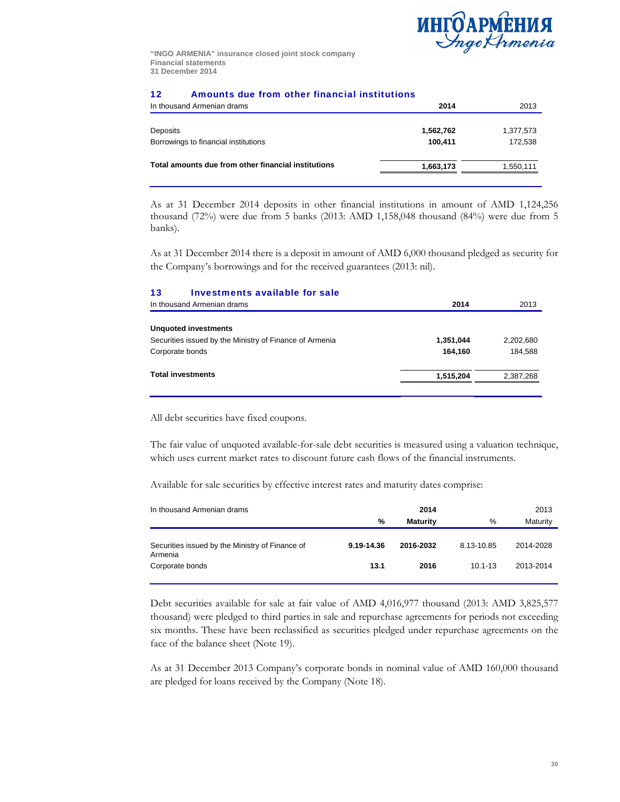

### 12 Amounts due from other financial institutions

| In thousand Armenian drams                          | 2014      | 2013      |
|-----------------------------------------------------|-----------|-----------|
|                                                     |           |           |
| Deposits                                            | 1,562,762 | 1,377,573 |
| Borrowings to financial institutions                | 100.411   | 172.538   |
| Total amounts due from other financial institutions | 1,663,173 | 1,550,111 |
|                                                     |           |           |

As at 31 December 2014 deposits in other financial institutions in amount of AMD 1,124,256 thousand (72%) were due from 5 banks (2013: AMD 1,158,048 thousand (84%) were due from 5 banks).

As at 31 December 2014 there is a deposit in amount of AMD 6,000 thousand pledged as security for the Company's borrowings and for the received guarantees (2013: nil).

| 13<br>Investments available for sale                    |           |           |
|---------------------------------------------------------|-----------|-----------|
| In thousand Armenian drams                              | 2014      | 2013      |
| <b>Unquoted investments</b>                             |           |           |
| Securities issued by the Ministry of Finance of Armenia | 1,351,044 | 2,202,680 |
| Corporate bonds                                         | 164.160   | 184.588   |
| <b>Total investments</b>                                | 1,515,204 | 2,387,268 |
|                                                         |           |           |

All debt securities have fixed coupons.

The fair value of unquoted available-for-sale debt securities is measured using a valuation technique, which uses current market rates to discount future cash flows of the financial instruments.

Available for sale securities by effective interest rates and maturity dates comprise:

| In thousand Armenian drams                                 | %          | 2014<br><b>Maturity</b> | %           | 2013<br>Maturity |
|------------------------------------------------------------|------------|-------------------------|-------------|------------------|
| Securities issued by the Ministry of Finance of<br>Armenia | 9.19-14.36 | 2016-2032               | 8.13-10.85  | 2014-2028        |
| Corporate bonds                                            | 13.1       | 2016                    | $10.1 - 13$ | 2013-2014        |

Debt securities available for sale at fair value of AMD 4,016,977 thousand (2013: AMD 3,825,577 thousand) were pledged to third parties in sale and repurchase agreements for periods not exceeding six months. These have been reclassified as securities pledged under repurchase agreements on the face of the balance sheet (Note 19).

As at 31 December 2013 Company's corporate bonds in nominal value of AMD 160,000 thousand are pledged for loans received by the Company (Note 18).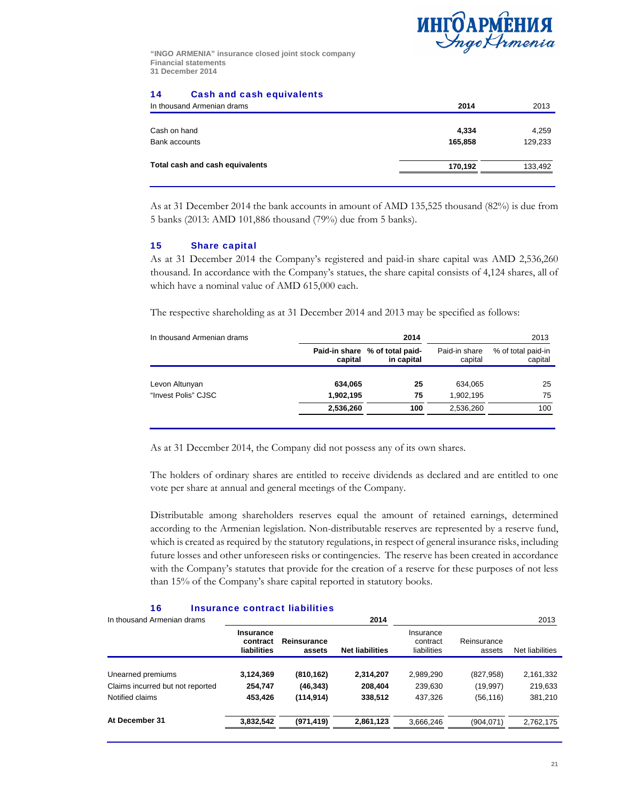

### 14 Cash and cash equivalents

| In thousand Armenian drams      | 2014    | 2013    |
|---------------------------------|---------|---------|
|                                 |         |         |
| Cash on hand                    | 4,334   | 4,259   |
| Bank accounts                   | 165.858 | 129,233 |
| Total cash and cash equivalents | 170,192 | 133,492 |
|                                 |         |         |

As at 31 December 2014 the bank accounts in amount of AMD 135,525 thousand (82%) is due from 5 banks (2013: AMD 101,886 thousand (79%) due from 5 banks).

### 15 Share capital

As at 31 December 2014 the Company's registered and paid-in share capital was AMD 2,536,260 thousand. In accordance with the Company's statues, the share capital consists of 4,124 shares, all of which have a nominal value of AMD 615,000 each.

The respective shareholding as at 31 December 2014 and 2013 may be specified as follows:

| In thousand Armenian drams |           | 2014<br>2013                                 |                          |                               |  |
|----------------------------|-----------|----------------------------------------------|--------------------------|-------------------------------|--|
|                            | capital   | Paid-in share % of total paid-<br>in capital | Paid-in share<br>capital | % of total paid-in<br>capital |  |
|                            |           |                                              |                          |                               |  |
| Levon Altunyan             | 634,065   | 25                                           | 634,065                  | 25                            |  |
| "Invest Polis" CJSC        | 1,902,195 | 75                                           | 1,902,195                | 75                            |  |
|                            | 2,536,260 | 100                                          | 2,536,260                | 100                           |  |
|                            |           |                                              |                          |                               |  |

As at 31 December 2014, the Company did not possess any of its own shares.

The holders of ordinary shares are entitled to receive dividends as declared and are entitled to one vote per share at annual and general meetings of the Company.

Distributable among shareholders reserves equal the amount of retained earnings, determined according to the Armenian legislation. Non-distributable reserves are represented by a reserve fund, which is created as required by the statutory regulations, in respect of general insurance risks, including future losses and other unforeseen risks or contingencies. The reserve has been created in accordance with the Company's statutes that provide for the creation of a reserve for these purposes of not less than 15% of the Company's share capital reported in statutory books.

### 16 Insurance contract liabilities

| 2014<br>In thousand Armenian drams |                                      |                       |                        |                                      |                       | 2013            |
|------------------------------------|--------------------------------------|-----------------------|------------------------|--------------------------------------|-----------------------|-----------------|
|                                    | Insurance<br>contract<br>liabilities | Reinsurance<br>assets | <b>Net liabilities</b> | Insurance<br>contract<br>liabilities | Reinsurance<br>assets | Net liabilities |
|                                    |                                      |                       |                        |                                      |                       |                 |
| Unearned premiums                  | 3,124,369                            | (810, 162)            | 2,314,207              | 2,989,290                            | (827, 958)            | 2,161,332       |
| Claims incurred but not reported   | 254,747                              | (46, 343)             | 208,404                | 239,630                              | (19, 997)             | 219,633         |
| Notified claims                    | 453.426                              | (114, 914)            | 338,512                | 437.326                              | (56, 116)             | 381,210         |
| At December 31                     | 3,832,542                            | (971, 419)            | 2,861,123              | 3,666,246                            | (904, 071)            | 2,762,175       |
|                                    |                                      |                       |                        |                                      |                       |                 |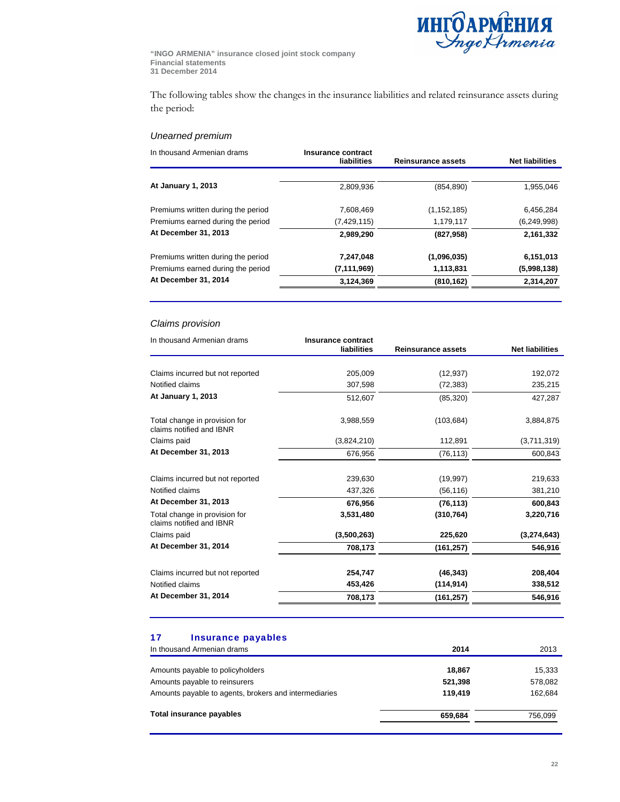

The following tables show the changes in the insurance liabilities and related reinsurance assets during the period:

### *Unearned premium*

| In thousand Armenian drams         | Insurance contract<br>liabilities | Reinsurance assets | <b>Net liabilities</b> |
|------------------------------------|-----------------------------------|--------------------|------------------------|
|                                    |                                   |                    |                        |
| At January 1, 2013                 | 2,809,936                         | (854, 890)         | 1,955,046              |
| Premiums written during the period | 7.608.469                         | (1, 152, 185)      | 6,456,284              |
| Premiums earned during the period  | (7,429,115)                       | 1,179,117          | (6,249,998)            |
| At December 31, 2013               | 2,989,290                         | (827, 958)         | 2,161,332              |
| Premiums written during the period | 7,247,048                         | (1,096,035)        | 6,151,013              |
| Premiums earned during the period  | (7, 111, 969)                     | 1,113,831          | (5,998,138)            |
| At December 31, 2014               | 3,124,369                         | (810, 162)         | 2,314,207              |

### *Claims provision*

| In thousand Armenian drams                                | Insurance contract<br>liabilities | <b>Reinsurance assets</b> | <b>Net liabilities</b> |
|-----------------------------------------------------------|-----------------------------------|---------------------------|------------------------|
|                                                           |                                   |                           |                        |
| Claims incurred but not reported                          | 205,009                           | (12, 937)                 | 192,072                |
| Notified claims                                           | 307,598                           | (72, 383)                 | 235,215                |
| At January 1, 2013                                        | 512,607                           | (85, 320)                 | 427,287                |
| Total change in provision for<br>claims notified and IBNR | 3.988.559                         | (103, 684)                | 3,884,875              |
| Claims paid                                               | (3,824,210)                       | 112,891                   | (3,711,319)            |
| At December 31, 2013                                      | 676,956                           | (76, 113)                 | 600,843                |
| Claims incurred but not reported                          | 239,630                           | (19, 997)                 | 219,633                |
| Notified claims                                           | 437,326                           | (56, 116)                 | 381,210                |
| At December 31, 2013                                      | 676,956                           | (76, 113)                 | 600,843                |
| Total change in provision for<br>claims notified and IBNR | 3.531.480                         | (310, 764)                | 3,220,716              |
| Claims paid                                               | (3,500,263)                       | 225,620                   | (3,274,643)            |
| At December 31, 2014                                      | 708,173                           | (161, 257)                | 546,916                |
| Claims incurred but not reported                          | 254,747                           | (46, 343)                 | 208,404                |
| Notified claims                                           | 453,426                           | (114, 914)                | 338,512                |
| At December 31, 2014                                      | 708,173                           | (161, 257)                | 546,916                |
|                                                           |                                   |                           |                        |

### 17 Insurance payables

| In thousand Armenian drams                            | 2014    | 2013    |
|-------------------------------------------------------|---------|---------|
|                                                       |         |         |
| Amounts payable to policyholders                      | 18,867  | 15,333  |
| Amounts payable to reinsurers                         | 521,398 | 578,082 |
| Amounts payable to agents, brokers and intermediaries | 119,419 | 162.684 |
| Total insurance payables                              | 659.684 | 756,099 |
|                                                       |         |         |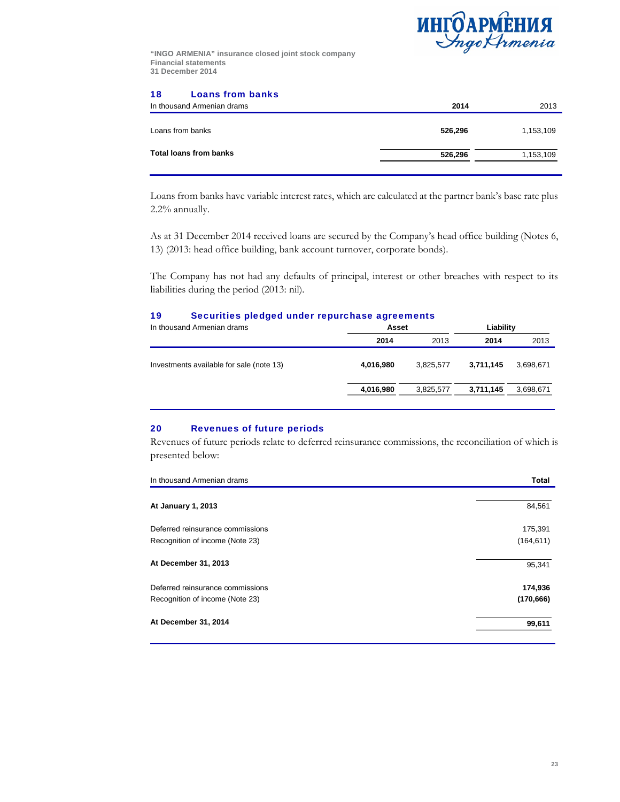

### 18 Loans from banks

| In thousand Armenian drams    | 2014    | 2013      |
|-------------------------------|---------|-----------|
| Loans from banks              | 526,296 | 1,153,109 |
| <b>Total loans from banks</b> | 526,296 | 1,153,109 |

Loans from banks have variable interest rates, which are calculated at the partner bank's base rate plus 2.2% annually.

As at 31 December 2014 received loans are secured by the Company's head office building (Notes 6, 13) (2013: head office building, bank account turnover, corporate bonds).

The Company has not had any defaults of principal, interest or other breaches with respect to its liabilities during the period (2013: nil).

### 19 Securities pledged under repurchase agreements

| In thousand Armenian drams               |           | Asset     |           | Liability |  |
|------------------------------------------|-----------|-----------|-----------|-----------|--|
|                                          | 2014      | 2013      | 2014      | 2013      |  |
| Investments available for sale (note 13) | 4,016,980 | 3,825,577 | 3,711,145 | 3,698,671 |  |
|                                          | 4,016,980 | 3.825.577 | 3,711,145 | 3.698.671 |  |
|                                          |           |           |           |           |  |

### 20 Revenues of future periods

Revenues of future periods relate to deferred reinsurance commissions, the reconciliation of which is presented below:

| Total      |
|------------|
| 84,561     |
| 175,391    |
| (164, 611) |
| 95,341     |
| 174,936    |
| (170, 666) |
| 99,611     |
|            |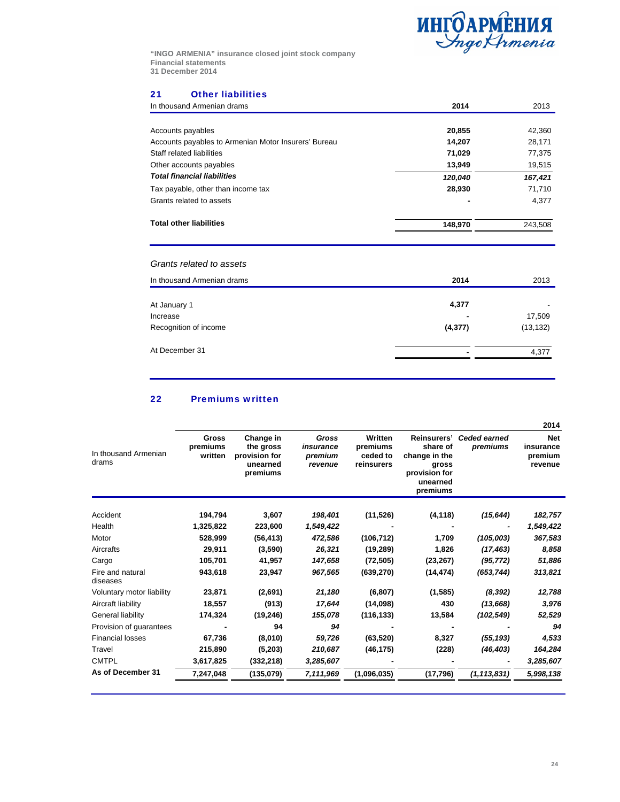

## 21 Other liabilities

| In thousand Armenian drams                           | 2014    | 2013    |
|------------------------------------------------------|---------|---------|
| Accounts payables                                    | 20,855  | 42,360  |
| Accounts payables to Armenian Motor Insurers' Bureau | 14,207  | 28,171  |
| Staff related liabilities                            | 71,029  | 77,375  |
| Other accounts payables                              | 13,949  | 19,515  |
| <b>Total financial liabilities</b>                   | 120,040 | 167,421 |
| Tax payable, other than income tax                   | 28,930  | 71,710  |
| Grants related to assets                             |         | 4,377   |
| <b>Total other liabilities</b>                       | 148,970 | 243,508 |
|                                                      |         |         |

### *Grants related to assets*

| In thousand Armenian drams | 2014           | 2013                     |
|----------------------------|----------------|--------------------------|
| At January 1               | 4,377          | $\overline{\phantom{a}}$ |
| Increase                   | ٠              | 17,509                   |
| Recognition of income      | (4,377)        | (13, 132)                |
| At December 31             | $\blacksquare$ | 4,377                    |
|                            |                |                          |

### 22 Premiums written

|                               |                                     |                                                                 |                                          |                                               |                                                                                            |                                 | 2014                                          |
|-------------------------------|-------------------------------------|-----------------------------------------------------------------|------------------------------------------|-----------------------------------------------|--------------------------------------------------------------------------------------------|---------------------------------|-----------------------------------------------|
| In thousand Armenian<br>drams | <b>Gross</b><br>premiums<br>written | Change in<br>the gross<br>provision for<br>unearned<br>premiums | Gross<br>insurance<br>premium<br>revenue | Written<br>premiums<br>ceded to<br>reinsurers | Reinsurers'<br>share of<br>change in the<br>gross<br>provision for<br>unearned<br>premiums | <b>Ceded earned</b><br>premiums | <b>Net</b><br>insurance<br>premium<br>revenue |
| Accident                      | 194,794                             | 3,607                                                           | 198,401                                  | (11,526)                                      | (4, 118)                                                                                   | (15, 644)                       | 182,757                                       |
| Health                        | 1,325,822                           | 223,600                                                         | 1,549,422                                |                                               |                                                                                            |                                 | 1,549,422                                     |
| Motor                         | 528,999                             | (56, 413)                                                       | 472,586                                  | (106, 712)                                    | 1,709                                                                                      | (105,003)                       | 367,583                                       |
| Aircrafts                     | 29,911                              | (3,590)                                                         | 26,321                                   | (19, 289)                                     | 1,826                                                                                      | (17, 463)                       | 8,858                                         |
| Cargo                         | 105,701                             | 41,957                                                          | 147,658                                  | (72, 505)                                     | (23, 267)                                                                                  | (95, 772)                       | 51,886                                        |
| Fire and natural<br>diseases  | 943,618                             | 23,947                                                          | 967,565                                  | (639, 270)                                    | (14, 474)                                                                                  | (653, 744)                      | 313,821                                       |
| Voluntary motor liability     | 23,871                              | (2,691)                                                         | 21,180                                   | (6, 807)                                      | (1, 585)                                                                                   | (8, 392)                        | 12,788                                        |
| Aircraft liability            | 18,557                              | (913)                                                           | 17,644                                   | (14,098)                                      | 430                                                                                        | (13, 668)                       | 3,976                                         |
| General liability             | 174,324                             | (19, 246)                                                       | 155,078                                  | (116, 133)                                    | 13,584                                                                                     | (102, 549)                      | 52,529                                        |
| Provision of guarantees       |                                     | 94                                                              | 94                                       |                                               |                                                                                            |                                 | 94                                            |
| <b>Financial losses</b>       | 67,736                              | (8,010)                                                         | 59,726                                   | (63, 520)                                     | 8,327                                                                                      | (55, 193)                       | 4,533                                         |
| Travel                        | 215,890                             | (5,203)                                                         | 210,687                                  | (46, 175)                                     | (228)                                                                                      | (46, 403)                       | 164,284                                       |
| <b>CMTPL</b>                  | 3,617,825                           | (332, 218)                                                      | 3,285,607                                |                                               |                                                                                            |                                 | 3,285,607                                     |
| As of December 31             | 7,247,048                           | (135,079)                                                       | 7,111,969                                | (1,096,035)                                   | (17, 796)                                                                                  | (1, 113, 831)                   | 5,998,138                                     |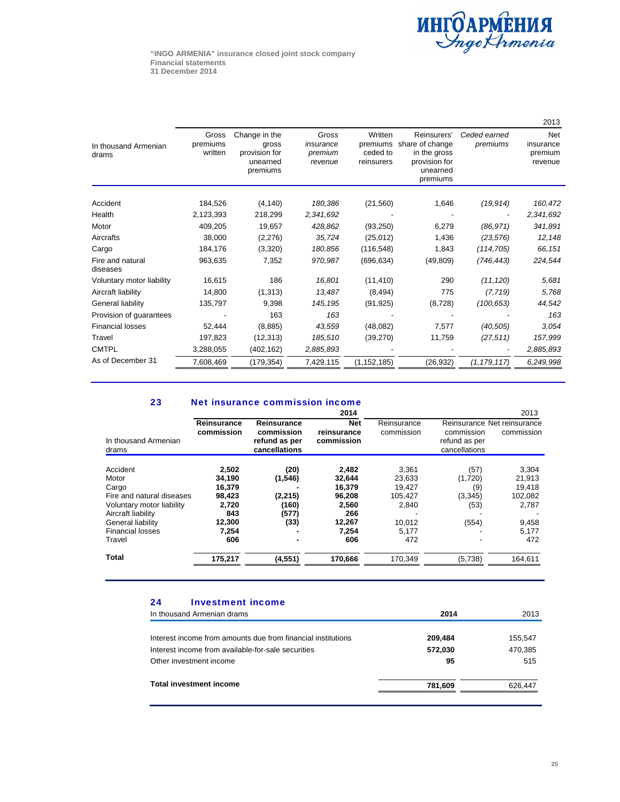

|                               |                              |                                                                 |                                          |                                               |                                                                                         |                          | 2013                                          |
|-------------------------------|------------------------------|-----------------------------------------------------------------|------------------------------------------|-----------------------------------------------|-----------------------------------------------------------------------------------------|--------------------------|-----------------------------------------------|
| In thousand Armenian<br>drams | Gross<br>premiums<br>written | Change in the<br>gross<br>provision for<br>unearned<br>premiums | Gross<br>insurance<br>premium<br>revenue | Written<br>premiums<br>ceded to<br>reinsurers | Reinsurers'<br>share of change<br>in the gross<br>provision for<br>unearned<br>premiums | Ceded earned<br>premiums | <b>Net</b><br>insurance<br>premium<br>revenue |
| Accident                      | 184,526                      | (4, 140)                                                        | 180,386                                  | (21, 560)                                     | 1,646                                                                                   | (19, 914)                | 160,472                                       |
| Health                        | 2,123,393                    | 218,299                                                         | 2,341,692                                |                                               |                                                                                         |                          | 2,341,692                                     |
| Motor                         | 409,205                      | 19,657                                                          | 428,862                                  | (93, 250)                                     | 6,279                                                                                   | (86, 971)                | 341,891                                       |
| Aircrafts                     | 38,000                       | (2,276)                                                         | 35,724                                   | (25, 012)                                     | 1,436                                                                                   | (23, 576)                | 12,148                                        |
| Cargo                         | 184,176                      | (3,320)                                                         | 180,856                                  | (116, 548)                                    | 1.843                                                                                   | (114, 705)               | 66,151                                        |
| Fire and natural<br>diseases  | 963,635                      | 7,352                                                           | 970,987                                  | (696, 634)                                    | (49, 809)                                                                               | (746, 443)               | 224,544                                       |
| Voluntary motor liability     | 16,615                       | 186                                                             | 16,801                                   | (11, 410)                                     | 290                                                                                     | (11, 120)                | 5,681                                         |
| Aircraft liability            | 14,800                       | (1, 313)                                                        | 13,487                                   | (8, 494)                                      | 775                                                                                     | (7, 719)                 | 5,768                                         |
| General liability             | 135,797                      | 9.398                                                           | 145, 195                                 | (91, 925)                                     | (8, 728)                                                                                | (100, 653)               | 44,542                                        |
| Provision of guarantees       |                              | 163                                                             | 163                                      |                                               |                                                                                         |                          | 163                                           |
| <b>Financial losses</b>       | 52.444                       | (8,885)                                                         | 43,559                                   | (48,082)                                      | 7,577                                                                                   | (40, 505)                | 3.054                                         |
| Travel                        | 197,823                      | (12, 313)                                                       | 185,510                                  | (39,270)                                      | 11,759                                                                                  | (27, 511)                | 157,999                                       |
| <b>CMTPL</b>                  | 3,288,055                    | (402,162)                                                       | 2,885,893                                |                                               |                                                                                         |                          | 2,885,893                                     |
| As of December 31             | 7,608,469                    | (179,354)                                                       | 7,429,115                                | (1, 152, 185)                                 | (26, 932)                                                                               | (1, 179, 117)            | 6,249,998                                     |

### 23 Net insurance commission income

|                           |                                                             | 2014                                    |                           |                                              | 2013                                                  |
|---------------------------|-------------------------------------------------------------|-----------------------------------------|---------------------------|----------------------------------------------|-------------------------------------------------------|
| Reinsurance<br>commission | Reinsurance<br>commission<br>refund as per<br>cancellations | <b>Net</b><br>reinsurance<br>commission | Reinsurance<br>commission | commission<br>refund as per<br>cancellations | commission                                            |
|                           |                                                             |                                         |                           |                                              | 3,304                                                 |
|                           |                                                             |                                         |                           |                                              | 21,913                                                |
|                           |                                                             |                                         |                           |                                              | 19,418                                                |
| 98.423                    | (2, 215)                                                    | 96.208                                  | 105,427                   | (3, 345)                                     | 102,082                                               |
| 2,720                     | (160)                                                       | 2,560                                   | 2,840                     | (53)                                         | 2,787                                                 |
| 843                       | (577)                                                       | 266                                     |                           |                                              |                                                       |
| 12,300                    |                                                             | 12,267                                  | 10.012                    | (554)                                        | 9,458                                                 |
| 7,254                     |                                                             | 7.254                                   | 5.177                     |                                              | 5,177                                                 |
| 606                       | $\blacksquare$                                              | 606                                     | 472                       |                                              | 472                                                   |
| 175,217                   | (4, 551)                                                    | 170,666                                 | 170,349                   | (5,738)                                      | 164,611                                               |
|                           | 2,502<br>34.190<br>16.379                                   | (20)<br>(1, 546)<br>(33)                | 2,482<br>32,644<br>16.379 | 3,361<br>23.633<br>19.427                    | Reinsurance Net reinsurance<br>(57)<br>(1,720)<br>(9) |

### 24 Investment income

| In thousand Armenian drams                                   | 2014    | 2013    |
|--------------------------------------------------------------|---------|---------|
| Interest income from amounts due from financial institutions | 209,484 | 155,547 |
| Interest income from available-for-sale securities           | 572,030 | 470,385 |
| Other investment income                                      | 95      | 515     |
| <b>Total investment income</b>                               | 781,609 | 626.447 |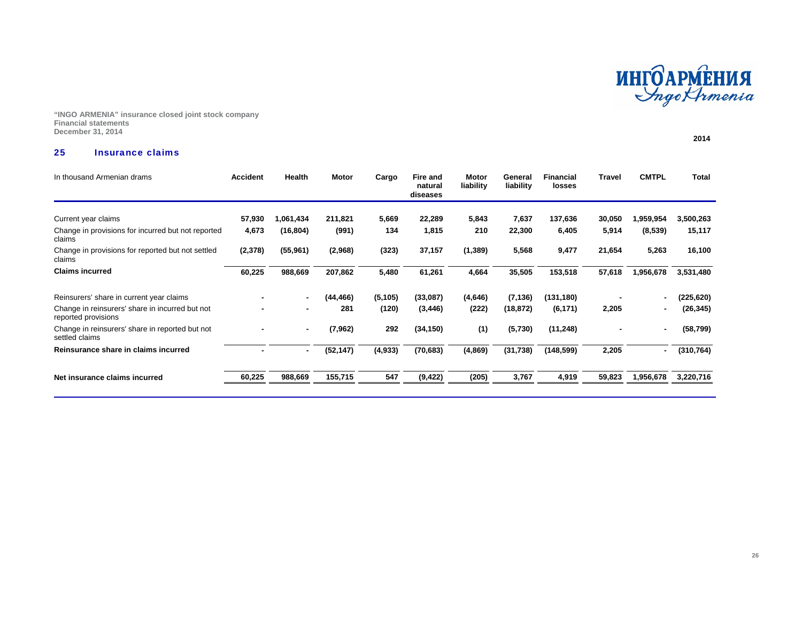**26** 

**"INGO ARMENIA" insurance closed joint stock company Financial statements December 31, 2014** 

#### 25Insurance claims

| In thousand Armenian drams                                             | <b>Accident</b> | Health         | Motor     | Cargo    | <b>Fire and</b><br>natural<br>diseases | <b>Motor</b><br>liability | General<br>liability | <b>Financial</b><br>losses | Travel | <b>CMTPL</b> | <b>Total</b> |
|------------------------------------------------------------------------|-----------------|----------------|-----------|----------|----------------------------------------|---------------------------|----------------------|----------------------------|--------|--------------|--------------|
| Current year claims                                                    | 57,930          | 1,061,434      | 211,821   | 5,669    | 22,289                                 | 5,843                     | 7,637                | 137,636                    | 30,050 | 959,954. ا   | 3,500,263    |
| Change in provisions for incurred but not reported<br>claims           | 4,673           | (16, 804)      | (991)     | 134      | 1,815                                  | 210                       | 22,300               | 6,405                      | 5,914  | (8,539)      | 15,117       |
| Change in provisions for reported but not settled<br>claims            | (2,378)         | (55, 961)      | (2,968)   | (323)    | 37,157                                 | (1, 389)                  | 5,568                | 9,477                      | 21,654 | 5,263        | 16,100       |
| <b>Claims incurred</b>                                                 | 60,225          | 988,669        | 207,862   | 5,480    | 61,261                                 | 4,664                     | 35,505               | 153,518                    | 57,618 | 1,956,678    | 3,531,480    |
| Reinsurers' share in current year claims                               |                 | $\blacksquare$ | (44,466)  | (5, 105) | (33,087)                               | (4,646)                   | (7, 136)             | (131,180)                  |        |              | (225,620)    |
| Change in reinsurers' share in incurred but not<br>reported provisions |                 |                | 281       | (120)    | (3, 446)                               | (222)                     | (18, 872)            | (6, 171)                   | 2,205  |              | (26, 345)    |
| Change in reinsurers' share in reported but not<br>settled claims      |                 | $\sim$         | (7, 962)  | 292      | (34, 150)                              | (1)                       | (5,730)              | (11, 248)                  |        |              | (58, 799)    |
| Reinsurance share in claims incurred                                   |                 | $\blacksquare$ | (52, 147) | (4,933)  | (70, 683)                              | (4, 869)                  | (31, 738)            | (148, 599)                 | 2,205  |              | (310, 764)   |
| Net insurance claims incurred                                          | 60,225          | 988,669        | 155,715   | 547      | (9, 422)                               | (205)                     | 3,767                | 4,919                      | 59,823 | 1,956,678    | 3,220,716    |

*MHTOAPMEHMA* 

 **2014** 2014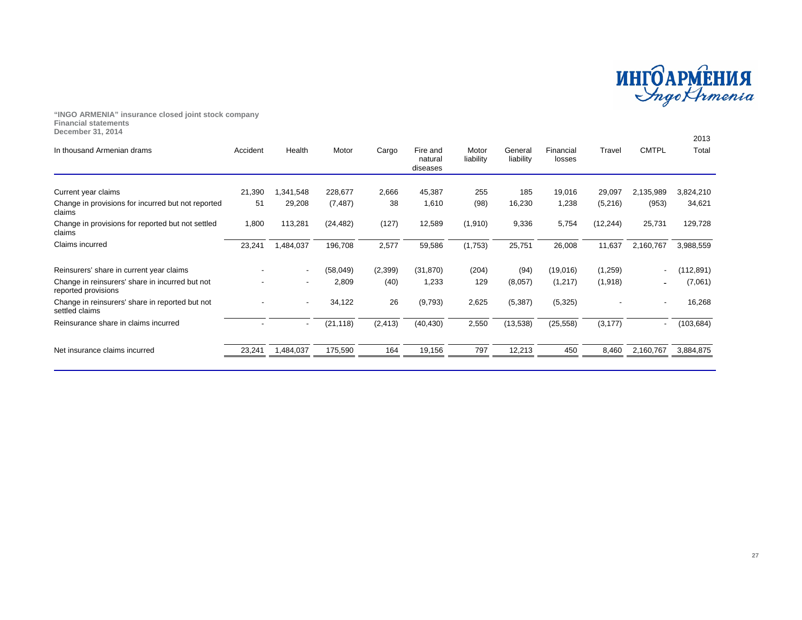

| In thousand Armenian drams                                             | Accident | Health                   | Motor     | Cargo    | Fire and<br>natural<br>diseases | Motor<br>liability | General<br>liability | Financial<br>losses | Travel    | <b>CMTPL</b>             | 2013<br>Total |
|------------------------------------------------------------------------|----------|--------------------------|-----------|----------|---------------------------------|--------------------|----------------------|---------------------|-----------|--------------------------|---------------|
| Current year claims                                                    | 21,390   | ,341,548                 | 228,677   | 2,666    | 45,387                          | 255                | 185                  | 19,016              | 29,097    | 2,135,989                | 3,824,210     |
| Change in provisions for incurred but not reported<br>claims           | 51       | 29,208                   | (7, 487)  | 38       | 1,610                           | (98)               | 16,230               | 1,238               | (5,216)   | (953)                    | 34,621        |
| Change in provisions for reported but not settled<br>claims            | 1,800    | 113,281                  | (24, 482) | (127)    | 12,589                          | (1,910)            | 9,336                | 5,754               | (12, 244) | 25,731                   | 129,728       |
| Claims incurred                                                        | 23,241   | A84,037,                 | 196,708   | 2,577    | 59,586                          | (1,753)            | 25,751               | 26,008              | 11,637    | 2,160,767                | 3,988,559     |
| Reinsurers' share in current year claims                               |          | $\overline{\phantom{a}}$ | (58,049)  | (2,399)  | (31, 870)                       | (204)              | (94)                 | (19,016)            | (1,259)   |                          | (112,891)     |
| Change in reinsurers' share in incurred but not<br>reported provisions |          | $\overline{\phantom{a}}$ | 2,809     | (40)     | 1,233                           | 129                | (8,057)              | (1,217)             | (1,918)   |                          | (7,061)       |
| Change in reinsurers' share in reported but not<br>settled claims      |          | $\overline{\phantom{a}}$ | 34,122    | 26       | (9,793)                         | 2,625              | (5, 387)             | (5,325)             |           |                          | 16,268        |
| Reinsurance share in claims incurred                                   |          | $\sim$                   | (21, 118) | (2, 413) | (40, 430)                       | 2,550              | (13,538)             | (25, 558)           | (3, 177)  | $\overline{\phantom{a}}$ | (103, 684)    |
| Net insurance claims incurred                                          | 23,241   | 1,484,037                | 175,590   | 164      | 19,156                          | 797                | 12,213               | 450                 | 8,460     | 2,160,767                | 3,884,875     |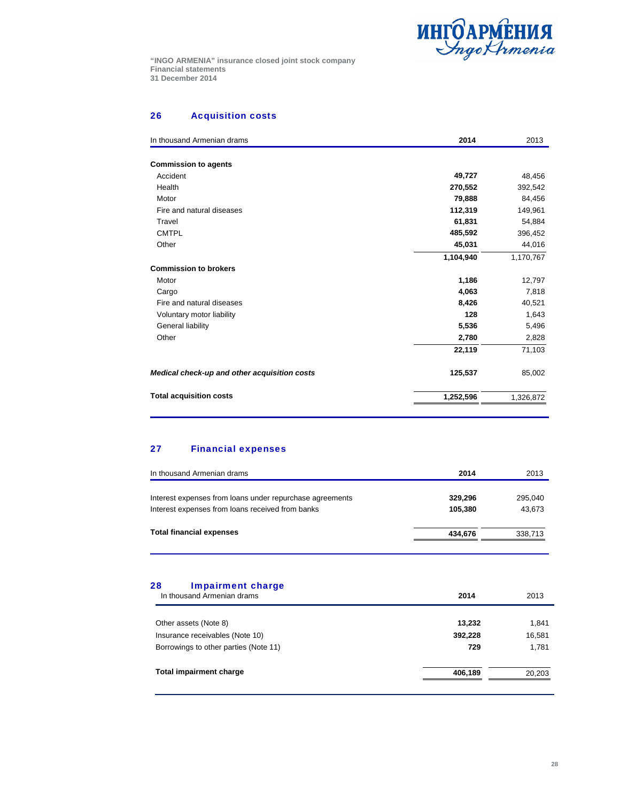

### 26 Acquisition costs

| In thousand Armenian drams                   | 2014      | 2013      |
|----------------------------------------------|-----------|-----------|
|                                              |           |           |
| <b>Commission to agents</b>                  |           |           |
| Accident                                     | 49,727    | 48,456    |
| Health                                       | 270,552   | 392,542   |
| Motor                                        | 79,888    | 84,456    |
| Fire and natural diseases                    | 112,319   | 149,961   |
| Travel                                       | 61,831    | 54,884    |
| <b>CMTPL</b>                                 | 485,592   | 396,452   |
| Other                                        | 45,031    | 44,016    |
|                                              | 1,104,940 | 1,170,767 |
| <b>Commission to brokers</b>                 |           |           |
| Motor                                        | 1,186     | 12,797    |
| Cargo                                        | 4,063     | 7,818     |
| Fire and natural diseases                    | 8,426     | 40,521    |
| Voluntary motor liability                    | 128       | 1,643     |
| General liability                            | 5,536     | 5,496     |
| Other                                        | 2,780     | 2,828     |
|                                              | 22,119    | 71,103    |
| Medical check-up and other acquisition costs | 125,537   | 85,002    |
| <b>Total acquisition costs</b>               | 1,252,596 | 1,326,872 |

### 27 Financial expenses

| In thousand Armenian drams                               | 2014    | 2013    |
|----------------------------------------------------------|---------|---------|
| Interest expenses from loans under repurchase agreements | 329,296 | 295,040 |
| Interest expenses from loans received from banks         | 105,380 | 43,673  |
| <b>Total financial expenses</b>                          | 434,676 | 338,713 |
|                                                          |         |         |

### 28 Impairment charge

| In thousand Armenian drams            | 2014    | 2013   |
|---------------------------------------|---------|--------|
| Other assets (Note 8)                 | 13,232  | 1,841  |
| Insurance receivables (Note 10)       | 392,228 | 16,581 |
| Borrowings to other parties (Note 11) | 729     | 1,781  |
| Total impairment charge               | 406,189 | 20,203 |
|                                       |         |        |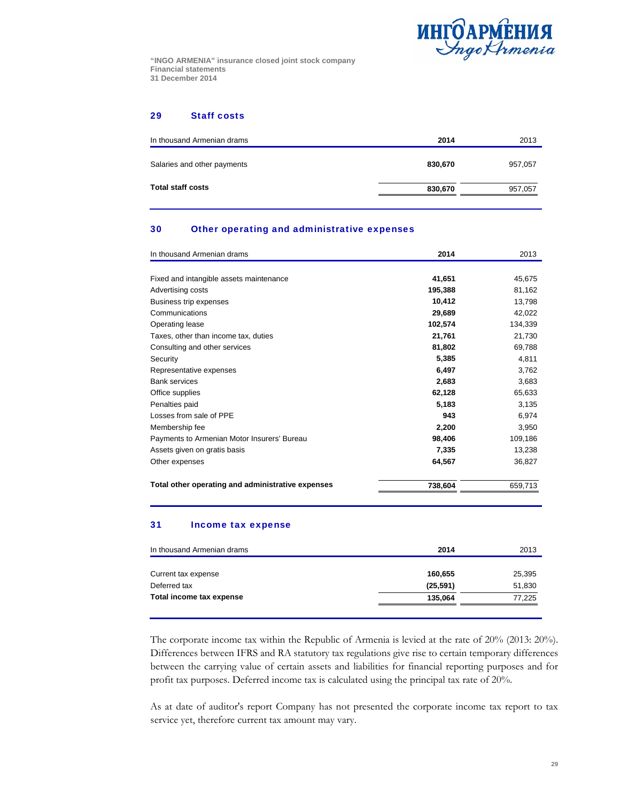

### 29 Staff costs

| In thousand Armenian drams  | 2014    | 2013    |
|-----------------------------|---------|---------|
| Salaries and other payments | 830,670 | 957,057 |
| <b>Total staff costs</b>    | 830,670 | 957,057 |

### 30 Other operating and administrative expenses

| In thousand Armenian drams                        | 2014    | 2013    |
|---------------------------------------------------|---------|---------|
|                                                   |         |         |
| Fixed and intangible assets maintenance           | 41,651  | 45,675  |
| Advertising costs                                 | 195,388 | 81,162  |
| Business trip expenses                            | 10,412  | 13,798  |
| Communications                                    | 29,689  | 42,022  |
| Operating lease                                   | 102,574 | 134,339 |
| Taxes, other than income tax, duties              | 21,761  | 21,730  |
| Consulting and other services                     | 81,802  | 69,788  |
| Security                                          | 5,385   | 4,811   |
| Representative expenses                           | 6,497   | 3,762   |
| <b>Bank services</b>                              | 2,683   | 3,683   |
| Office supplies                                   | 62,128  | 65,633  |
| Penalties paid                                    | 5,183   | 3,135   |
| Losses from sale of PPE                           | 943     | 6,974   |
| Membership fee                                    | 2,200   | 3,950   |
| Payments to Armenian Motor Insurers' Bureau       | 98,406  | 109,186 |
| Assets given on gratis basis                      | 7,335   | 13,238  |
| Other expenses                                    | 64,567  | 36,827  |
| Total other operating and administrative expenses | 738,604 | 659,713 |

### 31 Income tax expense

| 2014      | 2013   |
|-----------|--------|
|           |        |
| 160,655   | 25,395 |
| (25, 591) | 51,830 |
| 135,064   | 77,225 |
|           |        |

The corporate income tax within the Republic of Armenia is levied at the rate of 20% (2013: 20%). Differences between IFRS and RA statutory tax regulations give rise to certain temporary differences between the carrying value of certain assets and liabilities for financial reporting purposes and for profit tax purposes. Deferred income tax is calculated using the principal tax rate of 20%.

As at date of auditor's report Company has not presented the corporate income tax report to tax service yet, therefore current tax amount may vary.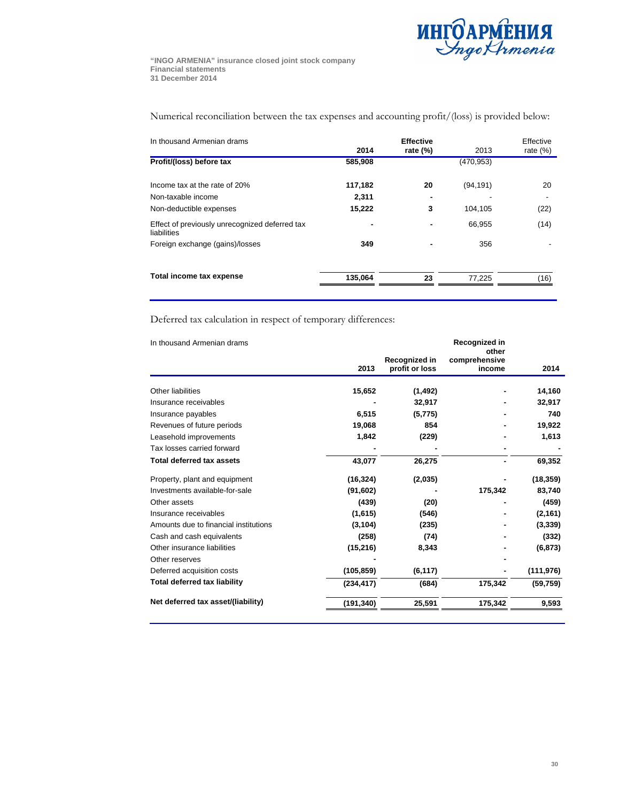

Numerical reconciliation between the tax expenses and accounting profit/(loss) is provided below:

| In thousand Armenian drams                                    | 2014    | <b>Effective</b><br>rate $(\%)$ | 2013       | Effective<br>rate $(\%)$ |
|---------------------------------------------------------------|---------|---------------------------------|------------|--------------------------|
| Profit/(loss) before tax                                      | 585,908 |                                 | (470, 953) |                          |
| Income tax at the rate of 20%                                 | 117,182 | 20                              | (94, 191)  | 20                       |
| Non-taxable income                                            | 2,311   |                                 |            |                          |
| Non-deductible expenses                                       | 15,222  | 3                               | 104.105    | (22)                     |
| Effect of previously unrecognized deferred tax<br>liabilities |         |                                 | 66,955     | (14)                     |
| Foreign exchange (gains)/losses                               | 349     |                                 | 356        |                          |
| Total income tax expense                                      | 135.064 |                                 |            |                          |
|                                                               |         | 23                              | 77.225     | (16)                     |

Deferred tax calculation in respect of temporary differences:

|            |                | Recognized in                       |                        |
|------------|----------------|-------------------------------------|------------------------|
|            |                |                                     |                        |
| 2013       | profit or loss | income                              | 2014                   |
|            |                |                                     | 14,160                 |
|            |                |                                     | 32,917                 |
| 6,515      | (5,775)        |                                     | 740                    |
| 19,068     | 854            |                                     | 19,922                 |
| 1,842      | (229)          |                                     | 1,613                  |
|            |                |                                     |                        |
| 43,077     | 26,275         |                                     | 69,352                 |
| (16, 324)  | (2,035)        |                                     | (18, 359)              |
| (91, 602)  |                | 175,342                             | 83,740                 |
| (439)      | (20)           |                                     | (459)                  |
| (1,615)    | (546)          |                                     | (2, 161)               |
| (3, 104)   | (235)          |                                     | (3, 339)               |
| (258)      | (74)           |                                     | (332)                  |
| (15, 216)  | 8,343          |                                     | (6, 873)               |
|            |                |                                     |                        |
| (105, 859) | (6, 117)       |                                     | (111, 976)             |
| (234, 417) | (684)          | 175,342                             | (59, 759)              |
| (191, 340) | 25,591         | 175,342                             | 9,593                  |
|            | 15,652         | Recognized in<br>(1, 492)<br>32,917 | other<br>comprehensive |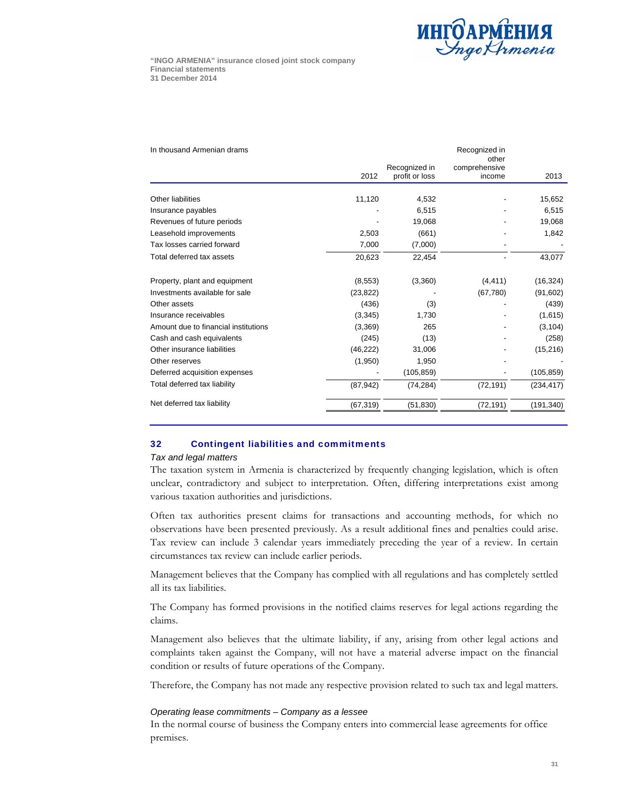

| In thousand Armenian drams           | Recognized in<br>other |                |               |            |  |  |
|--------------------------------------|------------------------|----------------|---------------|------------|--|--|
|                                      |                        | Recognized in  | comprehensive |            |  |  |
|                                      | 2012                   | profit or loss | income        | 2013       |  |  |
| Other liabilities                    | 11,120                 | 4,532          |               | 15,652     |  |  |
|                                      |                        |                |               | 6,515      |  |  |
| Insurance payables                   |                        | 6,515          |               |            |  |  |
| Revenues of future periods           |                        | 19,068         |               | 19,068     |  |  |
| Leasehold improvements               | 2,503                  | (661)          |               | 1,842      |  |  |
| Tax losses carried forward           | 7,000                  | (7,000)        |               |            |  |  |
| Total deferred tax assets            | 20,623                 | 22,454         |               | 43,077     |  |  |
| Property, plant and equipment        | (8,553)                | (3,360)        | (4, 411)      | (16, 324)  |  |  |
| Investments available for sale       | (23, 822)              |                | (67, 780)     | (91, 602)  |  |  |
| Other assets                         | (436)                  | (3)            |               | (439)      |  |  |
| Insurance receivables                | (3,345)                | 1,730          |               | (1,615)    |  |  |
| Amount due to financial institutions | (3,369)                | 265            |               | (3, 104)   |  |  |
| Cash and cash equivalents            | (245)                  | (13)           |               | (258)      |  |  |
| Other insurance liabilities          | (46, 222)              | 31,006         |               | (15, 216)  |  |  |
| Other reserves                       | (1,950)                | 1,950          |               |            |  |  |
| Deferred acquisition expenses        |                        | (105, 859)     |               | (105, 859) |  |  |
| Total deferred tax liability         | (87, 942)              | (74, 284)      | (72, 191)     | (234, 417) |  |  |
| Net deferred tax liability           | (67, 319)              | (51, 830)      | (72, 191)     | (191, 340) |  |  |

### 32 Contingent liabilities and commitments

#### *Tax and legal matters*

The taxation system in Armenia is characterized by frequently changing legislation, which is often unclear, contradictory and subject to interpretation. Often, differing interpretations exist among various taxation authorities and jurisdictions.

Often tax authorities present claims for transactions and accounting methods, for which no observations have been presented previously. As a result additional fines and penalties could arise. Tax review can include 3 calendar years immediately preceding the year of a review. In certain circumstances tax review can include earlier periods.

Management believes that the Company has complied with all regulations and has completely settled all its tax liabilities.

The Company has formed provisions in the notified claims reserves for legal actions regarding the claims.

Management also believes that the ultimate liability, if any, arising from other legal actions and complaints taken against the Company, will not have a material adverse impact on the financial condition or results of future operations of the Company.

Therefore, the Company has not made any respective provision related to such tax and legal matters.

#### *Operating lease commitments – Company as a lessee*

In the normal course of business the Company enters into commercial lease agreements for office premises.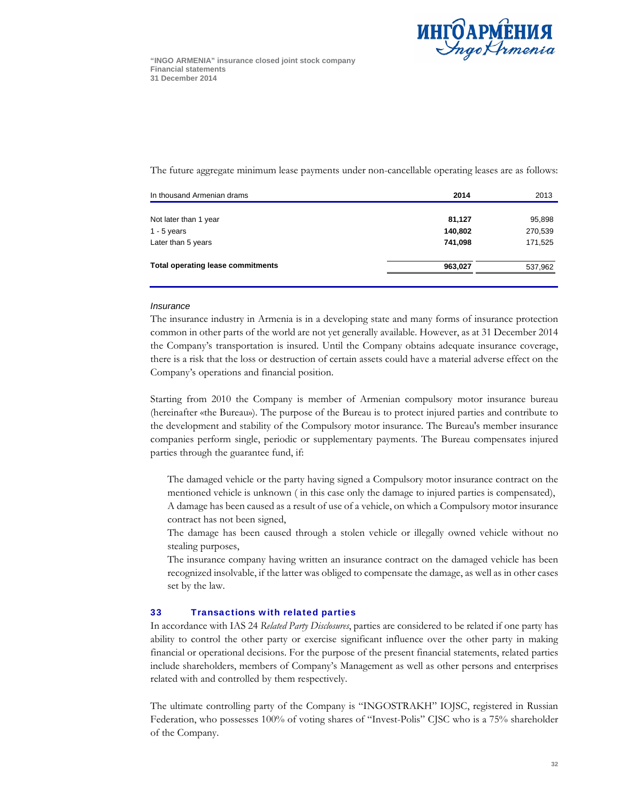

The future aggregate minimum lease payments under non-cancellable operating leases are as follows:

| In thousand Armenian drams               | 2014    | 2013    |
|------------------------------------------|---------|---------|
|                                          |         |         |
| Not later than 1 year                    | 81,127  | 95,898  |
| 1 - 5 years                              | 140,802 | 270,539 |
| Later than 5 years                       | 741,098 | 171,525 |
| <b>Total operating lease commitments</b> | 963,027 | 537,962 |
|                                          |         |         |

#### *Insurance*

The insurance industry in Armenia is in a developing state and many forms of insurance protection common in other parts of the world are not yet generally available. However, as at 31 December 2014 the Company's transportation is insured. Until the Company obtains adequate insurance coverage, there is a risk that the loss or destruction of certain assets could have a material adverse effect on the Company's operations and financial position.

Starting from 2010 the Company is member of Armenian compulsory motor insurance bureau (hereinafter «the Bureau»). The purpose of the Bureau is to protect injured parties and contribute to the development and stability of the Compulsory motor insurance. The Bureau's member insurance companies perform single, periodic or supplementary payments. The Bureau compensates injured parties through the guarantee fund, if:

- The damaged vehicle or the party having signed a Compulsory motor insurance contract on the mentioned vehicle is unknown ( in this case only the damage to injured parties is compensated),
- A damage has been caused as a result of use of a vehicle, on which a Compulsory motor insurance contract has not been signed,
- The damage has been caused through a stolen vehicle or illegally owned vehicle without no stealing purposes,

 The insurance company having written an insurance contract on the damaged vehicle has been recognized insolvable, if the latter was obliged to compensate the damage, as well as in other cases set by the law.

### 33 Transactions with related parties

In accordance with IAS 24 *Related Party Disclosures*, parties are considered to be related if one party has ability to control the other party or exercise significant influence over the other party in making financial or operational decisions. For the purpose of the present financial statements, related parties include shareholders, members of Company's Management as well as other persons and enterprises related with and controlled by them respectively.

The ultimate controlling party of the Company is "INGOSTRAKH" IOJSC, registered in Russian Federation, who possesses 100% of voting shares of "Invest-Polis" CJSC who is a 75% shareholder of the Company.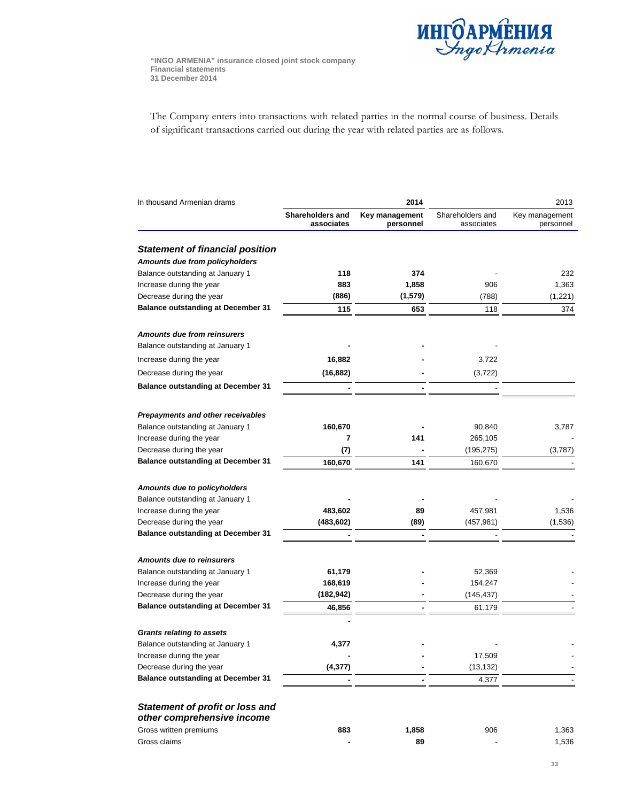

The Company enters into transactions with related parties in the normal course of business. Details of significant transactions carried out during the year with related parties are as follows.

| In thousand Armenian drams                                                   |                                       | 2014                        | 2013                           |                             |  |  |
|------------------------------------------------------------------------------|---------------------------------------|-----------------------------|--------------------------------|-----------------------------|--|--|
|                                                                              | <b>Shareholders and</b><br>associates | Key management<br>personnel | Shareholders and<br>associates | Key management<br>personnel |  |  |
| <b>Statement of financial position</b>                                       |                                       |                             |                                |                             |  |  |
| Amounts due from policyholders                                               |                                       |                             |                                |                             |  |  |
| Balance outstanding at January 1                                             | 118                                   | 374                         |                                | 232                         |  |  |
| Increase during the year                                                     | 883                                   | 1,858                       | 906                            | 1,363                       |  |  |
| Decrease during the year                                                     | (886)                                 | (1,579)                     | (788)                          | (1,221)                     |  |  |
| <b>Balance outstanding at December 31</b>                                    | 115                                   | 653                         | 118                            | 374                         |  |  |
| <b>Amounts due from reinsurers</b>                                           |                                       |                             |                                |                             |  |  |
| Balance outstanding at January 1                                             |                                       |                             |                                |                             |  |  |
| Increase during the year                                                     | 16,882                                |                             | 3,722                          |                             |  |  |
| Decrease during the year                                                     | (16, 882)                             |                             | (3,722)                        |                             |  |  |
| <b>Balance outstanding at December 31</b>                                    |                                       |                             |                                |                             |  |  |
|                                                                              |                                       |                             |                                |                             |  |  |
| <b>Prepayments and other receivables</b><br>Balance outstanding at January 1 | 160,670                               |                             | 90,840                         | 3,787                       |  |  |
| Increase during the year                                                     | 7                                     | 141                         | 265,105                        |                             |  |  |
| Decrease during the year                                                     | (7)                                   |                             | (195, 275)                     | (3,787)                     |  |  |
| <b>Balance outstanding at December 31</b>                                    | 160,670                               | 141                         | 160,670                        |                             |  |  |
|                                                                              |                                       |                             |                                |                             |  |  |
| Amounts due to policyholders                                                 |                                       |                             |                                |                             |  |  |
| Balance outstanding at January 1                                             |                                       |                             |                                |                             |  |  |
| Increase during the year                                                     | 483,602                               | 89                          | 457,981                        | 1,536                       |  |  |
| Decrease during the year                                                     | (483, 602)                            | (89)                        | (457,981)                      | (1,536)                     |  |  |
| <b>Balance outstanding at December 31</b>                                    |                                       |                             |                                |                             |  |  |
| <b>Amounts due to reinsurers</b>                                             |                                       |                             |                                |                             |  |  |
| Balance outstanding at January 1                                             | 61,179                                |                             | 52,369                         |                             |  |  |
| Increase during the year                                                     | 168,619                               |                             | 154,247                        |                             |  |  |
| Decrease during the year                                                     | (182, 942)                            |                             | (145, 437)                     |                             |  |  |
| <b>Balance outstanding at December 31</b>                                    | 46,856                                |                             | 61,179                         |                             |  |  |
| <b>Grants relating to assets</b>                                             |                                       |                             |                                |                             |  |  |
| Balance outstanding at January 1                                             | 4,377                                 |                             |                                |                             |  |  |
| Increase during the year                                                     |                                       |                             | 17,509                         |                             |  |  |
| Decrease during the year                                                     | (4, 377)                              |                             | (13, 132)                      |                             |  |  |
| <b>Balance outstanding at December 31</b>                                    |                                       |                             | 4,377                          |                             |  |  |
| <b>Statement of profit or loss and</b>                                       |                                       |                             |                                |                             |  |  |
| other comprehensive income                                                   |                                       |                             |                                |                             |  |  |
| Gross written premiums                                                       | 883                                   | 1,858                       | 906                            | 1,363                       |  |  |
| Gross claims                                                                 |                                       | 89                          |                                | 1,536                       |  |  |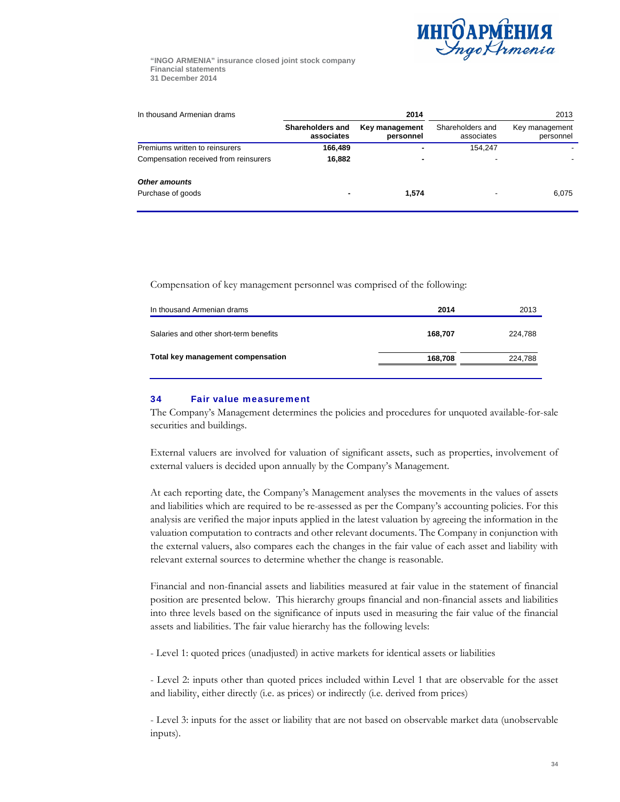

| In thousand Armenian drams            |                                | 2014                        |                                | 2013                        |
|---------------------------------------|--------------------------------|-----------------------------|--------------------------------|-----------------------------|
|                                       | Shareholders and<br>associates | Key management<br>personnel | Shareholders and<br>associates | Key management<br>personnel |
| Premiums written to reinsurers        | 166,489                        |                             | 154.247                        |                             |
| Compensation received from reinsurers | 16,882                         | -                           |                                |                             |
| <b>Other amounts</b>                  |                                |                             |                                |                             |
| Purchase of goods                     |                                | 1.574                       |                                | 6.075                       |

Compensation of key management personnel was comprised of the following:

| In thousand Armenian drams             | 2014    | 2013    |
|----------------------------------------|---------|---------|
| Salaries and other short-term benefits | 168,707 | 224,788 |
| Total key management compensation      | 168,708 | 224,788 |

### 34 Fair value measurement

The Company's Management determines the policies and procedures for unquoted available-for-sale securities and buildings.

External valuers are involved for valuation of significant assets, such as properties, involvement of external valuers is decided upon annually by the Company's Management.

At each reporting date, the Company's Management analyses the movements in the values of assets and liabilities which are required to be re-assessed as per the Company's accounting policies. For this analysis are verified the major inputs applied in the latest valuation by agreeing the information in the valuation computation to contracts and other relevant documents. The Company in conjunction with the external valuers, also compares each the changes in the fair value of each asset and liability with relevant external sources to determine whether the change is reasonable.

Financial and non-financial assets and liabilities measured at fair value in the statement of financial position are presented below. This hierarchy groups financial and non-financial assets and liabilities into three levels based on the significance of inputs used in measuring the fair value of the financial assets and liabilities. The fair value hierarchy has the following levels:

- Level 1: quoted prices (unadjusted) in active markets for identical assets or liabilities

- Level 2: inputs other than quoted prices included within Level 1 that are observable for the asset and liability, either directly (i.e. as prices) or indirectly (i.e. derived from prices)

- Level 3: inputs for the asset or liability that are not based on observable market data (unobservable inputs).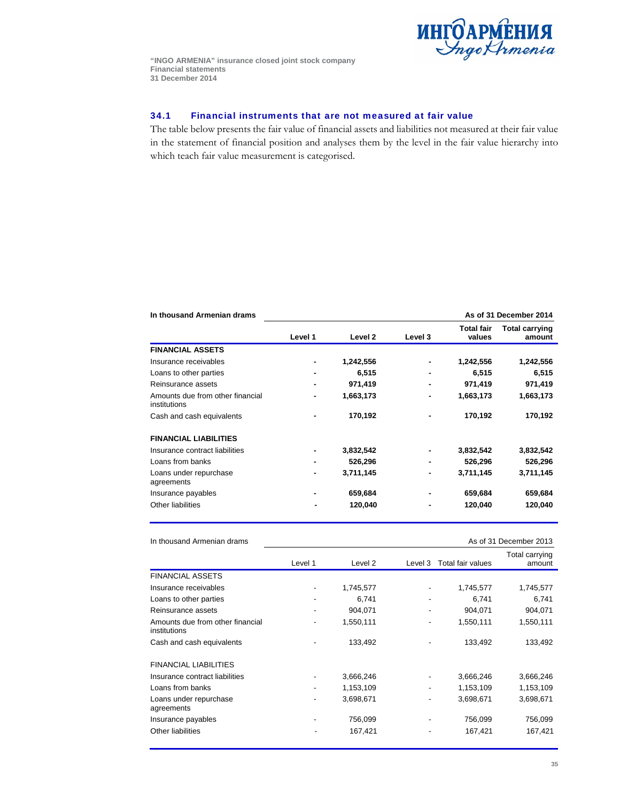

### 34.1 Financial instruments that are not measured at fair value

The table below presents the fair value of financial assets and liabilities not measured at their fair value in the statement of financial position and analyses them by the level in the fair value hierarchy into which teach fair value measurement is categorised.

#### **In thousand Armenian drams As of 31 December 2014**

|                                                  | Level 1 | Level <sub>2</sub> | Level 3 | Total fair<br>values | <b>Total carrying</b><br>amount |
|--------------------------------------------------|---------|--------------------|---------|----------------------|---------------------------------|
| <b>FINANCIAL ASSETS</b>                          |         |                    |         |                      |                                 |
| Insurance receivables                            |         | 1,242,556          |         | 1,242,556            | 1,242,556                       |
| Loans to other parties                           | ۰       | 6,515              |         | 6,515                | 6,515                           |
| Reinsurance assets                               | ۰       | 971.419            |         | 971,419              | 971,419                         |
| Amounts due from other financial<br>institutions | ۰       | 1,663,173          |         | 1,663,173            | 1,663,173                       |
| Cash and cash equivalents                        |         | 170,192            |         | 170,192              | 170,192                         |
| <b>FINANCIAL LIABILITIES</b>                     |         |                    |         |                      |                                 |
| Insurance contract liabilities                   | ٠       | 3,832,542          |         | 3,832,542            | 3,832,542                       |
| Loans from banks                                 |         | 526,296            |         | 526,296              | 526,296                         |
| Loans under repurchase<br>agreements             | ٠       | 3,711,145          |         | 3,711,145            | 3,711,145                       |
| Insurance payables                               | ٠       | 659,684            |         | 659,684              | 659,684                         |
| Other liabilities                                |         | 120,040            |         | 120,040              | 120,040                         |

|  | In thousand Armenian drams |  |
|--|----------------------------|--|

As of 31 December 2013

|                                                  |         |           |         |                   | Total carrying |
|--------------------------------------------------|---------|-----------|---------|-------------------|----------------|
|                                                  | Level 1 | Level 2   | Level 3 | Total fair values | amount         |
| <b>FINANCIAL ASSETS</b>                          |         |           |         |                   |                |
| Insurance receivables                            |         | 1,745,577 |         | 1,745,577         | 1,745,577      |
| Loans to other parties                           |         | 6,741     |         | 6,741             | 6,741          |
| Reinsurance assets                               | ۰       | 904,071   |         | 904,071           | 904.071        |
| Amounts due from other financial<br>institutions |         | 1,550,111 |         | 1,550,111         | 1,550,111      |
| Cash and cash equivalents                        |         | 133.492   |         | 133,492           | 133,492        |
| <b>FINANCIAL LIABILITIES</b>                     |         |           |         |                   |                |
| Insurance contract liabilities                   | -       | 3,666,246 |         | 3,666,246         | 3,666,246      |
| Loans from banks                                 | ۰       | 1,153,109 | ٠       | 1,153,109         | 1,153,109      |
| Loans under repurchase<br>agreements             | -       | 3,698,671 |         | 3,698,671         | 3,698,671      |
| Insurance payables                               |         | 756,099   |         | 756,099           | 756,099        |
| Other liabilities                                |         | 167,421   |         | 167,421           | 167,421        |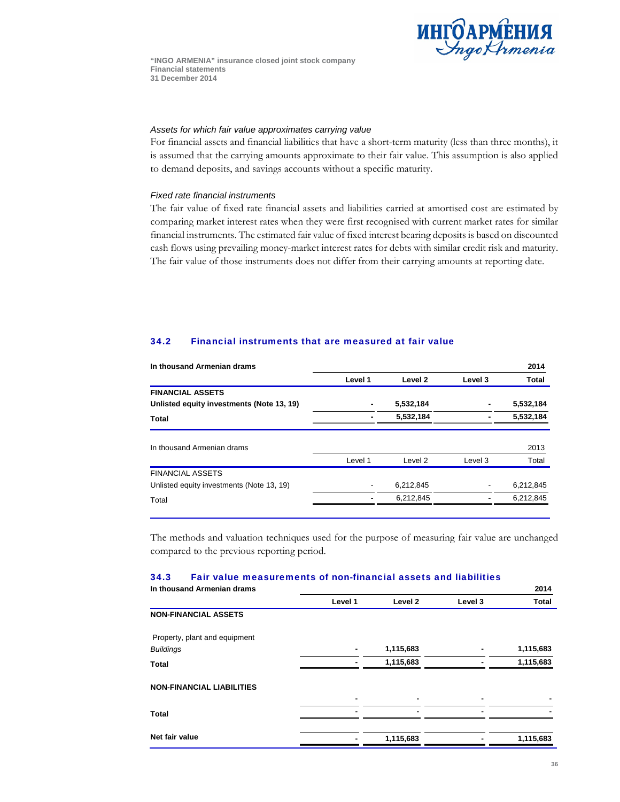

#### *Assets for which fair value approximates carrying value*

For financial assets and financial liabilities that have a short-term maturity (less than three months), it is assumed that the carrying amounts approximate to their fair value. This assumption is also applied to demand deposits, and savings accounts without a specific maturity.

### *Fixed rate financial instruments*

The fair value of fixed rate financial assets and liabilities carried at amortised cost are estimated by comparing market interest rates when they were first recognised with current market rates for similar financial instruments. The estimated fair value of fixed interest bearing deposits is based on discounted cash flows using prevailing money-market interest rates for debts with similar credit risk and maturity. The fair value of those instruments does not differ from their carrying amounts at reporting date.

### 34.2 Financial instruments that are measured at fair value

| In thousand Armenian drams                |         |                    |         | 2014      |
|-------------------------------------------|---------|--------------------|---------|-----------|
|                                           | Level 1 | Level 2            | Level 3 | Total     |
| <b>FINANCIAL ASSETS</b>                   |         |                    |         |           |
| Unlisted equity investments (Note 13, 19) |         | 5,532,184          |         | 5,532,184 |
| <b>Total</b>                              |         | 5,532,184          |         | 5,532,184 |
|                                           |         |                    |         |           |
| In thousand Armenian drams                |         |                    |         | 2013      |
|                                           | Level 1 | Level <sub>2</sub> | Level 3 | Total     |
| <b>FINANCIAL ASSETS</b>                   |         |                    |         |           |
| Unlisted equity investments (Note 13, 19) | ٠       | 6,212,845          |         | 6,212,845 |
| Total                                     |         | 6,212,845          |         | 6,212,845 |
|                                           |         |                    |         |           |

The methods and valuation techniques used for the purpose of measuring fair value are unchanged compared to the previous reporting period.

#### 34.3 Fair value measurements of non-financial assets and liabilities

| In thousand Armenian drams       |         |                |         | 2014         |
|----------------------------------|---------|----------------|---------|--------------|
|                                  | Level 1 | Level 2        | Level 3 | <b>Total</b> |
| <b>NON-FINANCIAL ASSETS</b>      |         |                |         |              |
| Property, plant and equipment    |         |                |         |              |
| <b>Buildings</b>                 |         | 1,115,683      |         | 1,115,683    |
| <b>Total</b>                     |         | 1,115,683      |         | 1,115,683    |
| <b>NON-FINANCIAL LIABILITIES</b> |         | $\blacksquare$ |         |              |
| <b>Total</b>                     |         |                |         |              |
| Net fair value                   |         | 1,115,683      |         | 1,115,683    |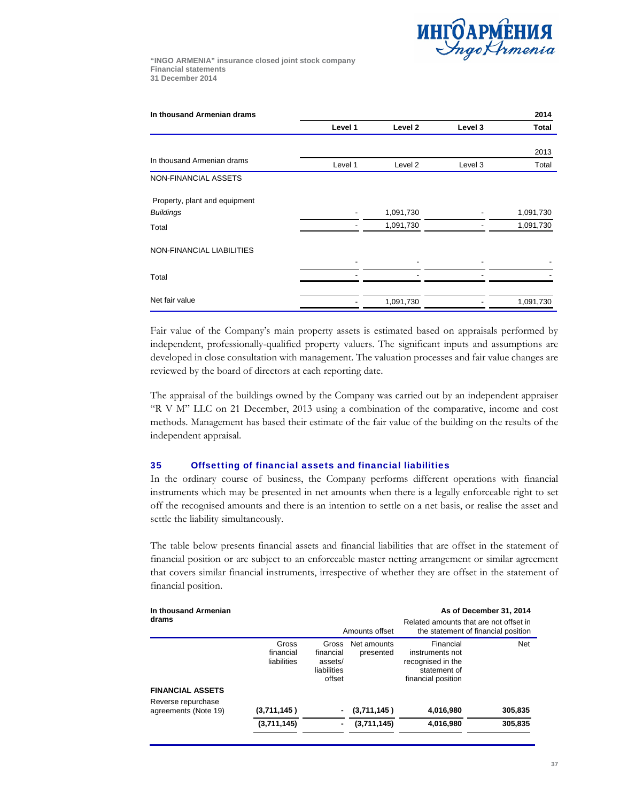

| In thousand Armenian drams    |         |           |         | 2014         |
|-------------------------------|---------|-----------|---------|--------------|
|                               | Level 1 | Level 2   | Level 3 | <b>Total</b> |
|                               |         |           |         |              |
|                               |         |           |         | 2013         |
| In thousand Armenian drams    | Level 1 | Level 2   | Level 3 | Total        |
| NON-FINANCIAL ASSETS          |         |           |         |              |
| Property, plant and equipment |         |           |         |              |
| <b>Buildings</b>              |         | 1,091,730 |         | 1,091,730    |
| Total                         |         | 1,091,730 |         | 1,091,730    |
| NON-FINANCIAL LIABILITIES     |         |           |         |              |
|                               |         |           |         |              |
| Total                         |         |           |         |              |
| Net fair value                |         | 1,091,730 |         | 1,091,730    |

Fair value of the Company's main property assets is estimated based on appraisals performed by independent, professionally-qualified property valuers. The significant inputs and assumptions are developed in close consultation with management. The valuation processes and fair value changes are reviewed by the board of directors at each reporting date.

The appraisal of the buildings owned by the Company was carried out by an independent appraiser "R V M" LLC on 21 December, 2013 using a combination of the comparative, income and cost methods. Management has based their estimate of the fair value of the building on the results of the independent appraisal.

### 35 Offsetting of financial assets and financial liabilities

In the ordinary course of business, the Company performs different operations with financial instruments which may be presented in net amounts when there is a legally enforceable right to set off the recognised amounts and there is an intention to settle on a net basis, or realise the asset and settle the liability simultaneously.

The table below presents financial assets and financial liabilities that are offset in the statement of financial position or are subject to an enforceable master netting arrangement or similar agreement that covers similar financial instruments, irrespective of whether they are offset in the statement of financial position.

| In thousand Armenian<br>drams              |                                   | Amounts offset                                         |                          | As of December 31, 2014<br>Related amounts that are not offset in<br>the statement of financial position |            |  |
|--------------------------------------------|-----------------------------------|--------------------------------------------------------|--------------------------|----------------------------------------------------------------------------------------------------------|------------|--|
|                                            | Gross<br>financial<br>liabilities | Gross<br>financial<br>assets/<br>liabilities<br>offset | Net amounts<br>presented | Financial<br>instruments not<br>recognised in the<br>statement of<br>financial position                  | <b>Net</b> |  |
| <b>FINANCIAL ASSETS</b>                    |                                   |                                                        |                          |                                                                                                          |            |  |
| Reverse repurchase<br>agreements (Note 19) | (3,711,145)                       | ٠                                                      | (3,711,145)              | 4,016,980                                                                                                | 305.835    |  |
|                                            | (3,711,145)                       | ۰                                                      | (3,711,145)              | 4,016,980                                                                                                | 305,835    |  |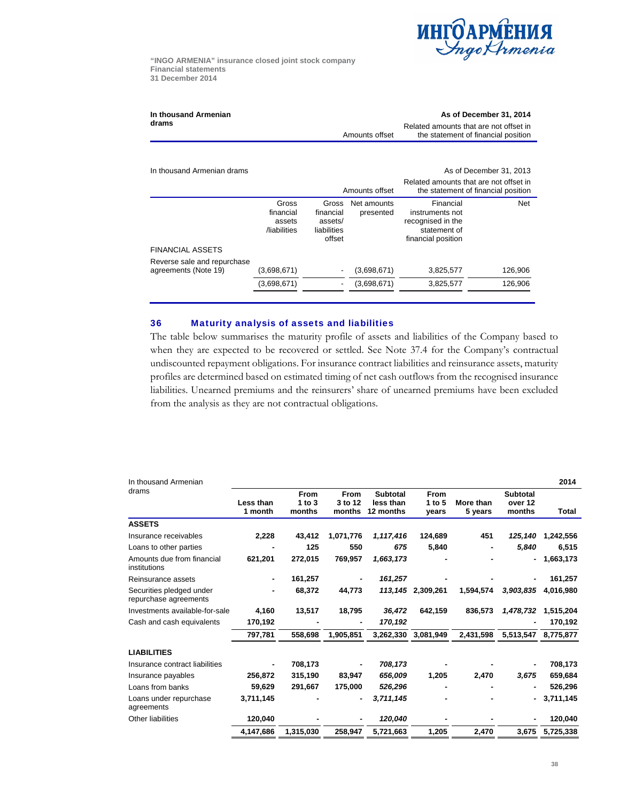

| In thousand Armenian |                | As of December 31, 2014                |
|----------------------|----------------|----------------------------------------|
| drams                |                | Related amounts that are not offset in |
|                      | Amounts offset | the statement of financial position    |

In thousand Armenian drams **As of December 31, 2013** As of December 31, 2013

|                                                     |                                              |                                                        | Amounts offset           | Related amounts that are not offset in                                                  | the statement of financial position |
|-----------------------------------------------------|----------------------------------------------|--------------------------------------------------------|--------------------------|-----------------------------------------------------------------------------------------|-------------------------------------|
|                                                     | Gross<br>financial<br>assets<br>/liabilities | Gross<br>financial<br>assets/<br>liabilities<br>offset | Net amounts<br>presented | Financial<br>instruments not<br>recognised in the<br>statement of<br>financial position | Net                                 |
| <b>FINANCIAL ASSETS</b>                             |                                              |                                                        |                          |                                                                                         |                                     |
| Reverse sale and repurchase<br>agreements (Note 19) | (3,698,671)                                  | ٠                                                      | (3,698,671)              | 3,825,577                                                                               | 126,906                             |
|                                                     | (3,698,671)                                  |                                                        | (3,698,671)              | 3,825,577                                                                               | 126,906                             |
|                                                     |                                              |                                                        |                          |                                                                                         |                                     |

### 36 Maturity analysis of assets and liabilities

The table below summarises the maturity profile of assets and liabilities of the Company based to when they are expected to be recovered or settled. See Note 37.4 for the Company's contractual undiscounted repayment obligations. For insurance contract liabilities and reinsurance assets, maturity profiles are determined based on estimated timing of net cash outflows from the recognised insurance liabilities. Unearned premiums and the reinsurers' share of unearned premiums have been excluded from the analysis as they are not contractual obligations.

| In thousand Armenian                              |           |                       |                        |                              |                     |           |                            | 2014      |
|---------------------------------------------------|-----------|-----------------------|------------------------|------------------------------|---------------------|-----------|----------------------------|-----------|
| drams                                             | Less than | <b>From</b><br>1 to 3 | <b>From</b><br>3 to 12 | <b>Subtotal</b><br>less than | From<br>1 to 5      | More than | <b>Subtotal</b><br>over 12 |           |
|                                                   | 1 month   | months                | months                 | 12 months                    | vears               | 5 years   | months                     | Total     |
| <b>ASSETS</b>                                     |           |                       |                        |                              |                     |           |                            |           |
| Insurance receivables                             | 2,228     | 43,412                | 1,071,776              | 1,117,416                    | 124,689             | 451       | 125,140                    | 1,242,556 |
| Loans to other parties                            |           | 125                   | 550                    | 675                          | 5,840               | ٠         | 5,840                      | 6,515     |
| Amounts due from financial<br>institutions        | 621,201   | 272.015               | 769.957                | 1,663,173                    |                     |           | $\overline{a}$             | 1,663,173 |
| Reinsurance assets                                |           | 161,257               |                        | 161,257                      |                     |           |                            | 161,257   |
| Securities pledged under<br>repurchase agreements |           | 68,372                | 44,773                 |                              | 113,145 2,309,261   | 1,594,574 | 3,903,835                  | 4,016,980 |
| Investments available-for-sale                    | 4,160     | 13,517                | 18,795                 | 36,472                       | 642,159             | 836,573   | 1,478,732                  | 1,515,204 |
| Cash and cash equivalents                         | 170,192   |                       |                        | 170,192                      |                     |           |                            | 170,192   |
|                                                   | 797,781   | 558,698               | 1,905,851              |                              | 3,262,330 3,081,949 | 2,431,598 | 5,513,547                  | 8,775,877 |
| <b>LIABILITIES</b>                                |           |                       |                        |                              |                     |           |                            |           |
| Insurance contract liabilities                    |           | 708,173               |                        | 708,173                      |                     |           |                            | 708,173   |
| Insurance payables                                | 256,872   | 315,190               | 83,947                 | 656,009                      | 1,205               | 2,470     | 3,675                      | 659,684   |
| Loans from banks                                  | 59,629    | 291,667               | 175,000                | 526,296                      | ۰                   | ٠         | ٠                          | 526,296   |
| Loans under repurchase<br>agreements              | 3,711,145 |                       |                        | 3,711,145                    |                     |           |                            | 3,711,145 |
| Other liabilities                                 | 120,040   |                       |                        | 120,040                      |                     |           |                            | 120,040   |
|                                                   | 4,147,686 | 1,315,030             | 258,947                | 5,721,663                    | 1,205               | 2,470     | 3,675                      | 5,725,338 |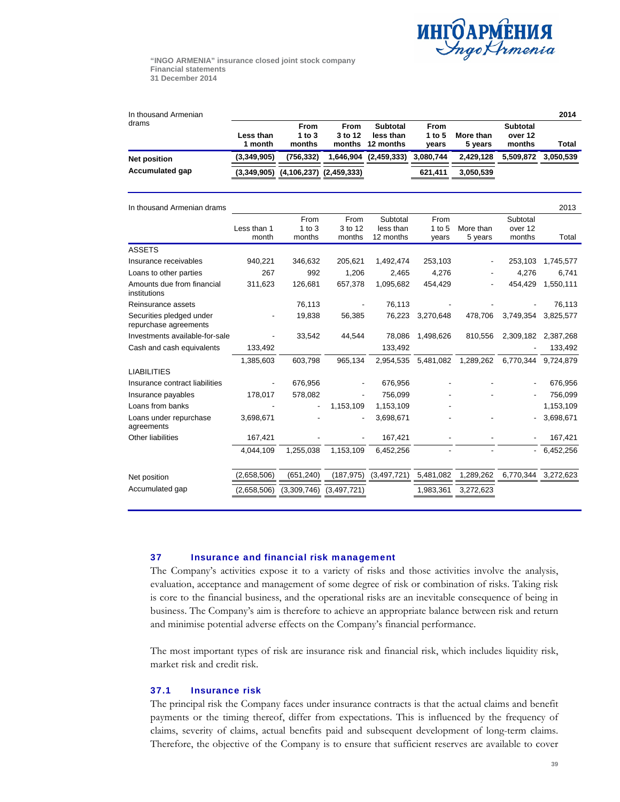

| In thousand Armenian |             |                                           |                        |                       |                       |           |                            | 2014  |
|----------------------|-------------|-------------------------------------------|------------------------|-----------------------|-----------------------|-----------|----------------------------|-------|
| drams                | Less than   | From<br>1 to $3$                          | <b>From</b><br>3 to 12 | Subtotal<br>less than | <b>From</b><br>1 to 5 | More than | <b>Subtotal</b><br>over 12 |       |
|                      | 1 month     | months                                    |                        | months 12 months      | vears                 | 5 vears   | months                     | Total |
| <b>Net position</b>  | (3,349,905) | (756.332)                                 |                        | 1,646,904 (2,459,333) | 3,080,744             | 2,429,128 | 5.509.872 3.050.539        |       |
| Accumulated gap      |             | $(3,349,905)$ $(4,106,237)$ $(2,459,333)$ |                        |                       | 621.411               | 3.050.539 |                            |       |

| In thousand Armenian drams                        |                      |                            |                           |                                    |                           |                      |                               | 2013      |
|---------------------------------------------------|----------------------|----------------------------|---------------------------|------------------------------------|---------------------------|----------------------|-------------------------------|-----------|
|                                                   | Less than 1<br>month | From<br>1 to $3$<br>months | From<br>3 to 12<br>months | Subtotal<br>less than<br>12 months | From<br>1 to $5$<br>years | More than<br>5 years | Subtotal<br>over 12<br>months | Total     |
| <b>ASSETS</b>                                     |                      |                            |                           |                                    |                           |                      |                               |           |
| Insurance receivables                             | 940,221              | 346,632                    | 205,621                   | 1,492,474                          | 253,103                   |                      | 253,103                       | 1,745,577 |
| Loans to other parties                            | 267                  | 992                        | 1,206                     | 2,465                              | 4,276                     |                      | 4,276                         | 6,741     |
| Amounts due from financial<br>institutions        | 311,623              | 126,681                    | 657,378                   | 1,095,682                          | 454,429                   |                      | 454,429                       | 1,550,111 |
| Reinsurance assets                                |                      | 76,113                     |                           | 76,113                             |                           |                      |                               | 76,113    |
| Securities pledged under<br>repurchase agreements |                      | 19,838                     | 56,385                    | 76,223                             | 3,270,648                 | 478,706              | 3,749,354                     | 3,825,577 |
| Investments available-for-sale                    |                      | 33,542                     | 44,544                    | 78.086                             | 1,498,626                 | 810,556              | 2,309,182                     | 2,387,268 |
| Cash and cash equivalents                         | 133,492              |                            |                           | 133,492                            |                           |                      |                               | 133,492   |
|                                                   | 1,385,603            | 603,798                    | 965,134                   | 2,954,535                          | 5,481,082                 | 1,289,262            | 6,770,344                     | 9,724,879 |
| <b>LIABILITIES</b>                                |                      |                            |                           |                                    |                           |                      |                               |           |
| Insurance contract liabilities                    |                      | 676,956                    |                           | 676,956                            |                           |                      |                               | 676,956   |
| Insurance payables                                | 178,017              | 578,082                    |                           | 756,099                            |                           |                      |                               | 756,099   |
| Loans from banks                                  |                      |                            | 1,153,109                 | 1,153,109                          |                           |                      |                               | 1,153,109 |
| Loans under repurchase<br>agreements              | 3,698,671            |                            |                           | 3,698,671                          |                           |                      |                               | 3,698,671 |
| Other liabilities                                 | 167,421              |                            |                           | 167,421                            |                           |                      |                               | 167,421   |
|                                                   | 4,044,109            | 1,255,038                  | 1,153,109                 | 6,452,256                          |                           |                      | $\blacksquare$                | 6,452,256 |
| Net position                                      | (2,658,506)          | (651, 240)                 | (187, 975)                | (3,497,721)                        | 5,481,082                 | 1,289,262            | 6,770,344                     | 3,272,623 |
| Accumulated gap                                   | (2,658,506)          | (3,309,746)                | (3,497,721)               |                                    | 1,983,361                 | 3,272,623            |                               |           |

### 37 Insurance and financial risk management

The Company's activities expose it to a variety of risks and those activities involve the analysis, evaluation, acceptance and management of some degree of risk or combination of risks. Taking risk is core to the financial business, and the operational risks are an inevitable consequence of being in business. The Company's aim is therefore to achieve an appropriate balance between risk and return and minimise potential adverse effects on the Company's financial performance.

The most important types of risk are insurance risk and financial risk, which includes liquidity risk, market risk and credit risk.

### 37.1 Insurance risk

The principal risk the Company faces under insurance contracts is that the actual claims and benefit payments or the timing thereof, differ from expectations. This is influenced by the frequency of claims, severity of claims, actual benefits paid and subsequent development of long-term claims. Therefore, the objective of the Company is to ensure that sufficient reserves are available to cover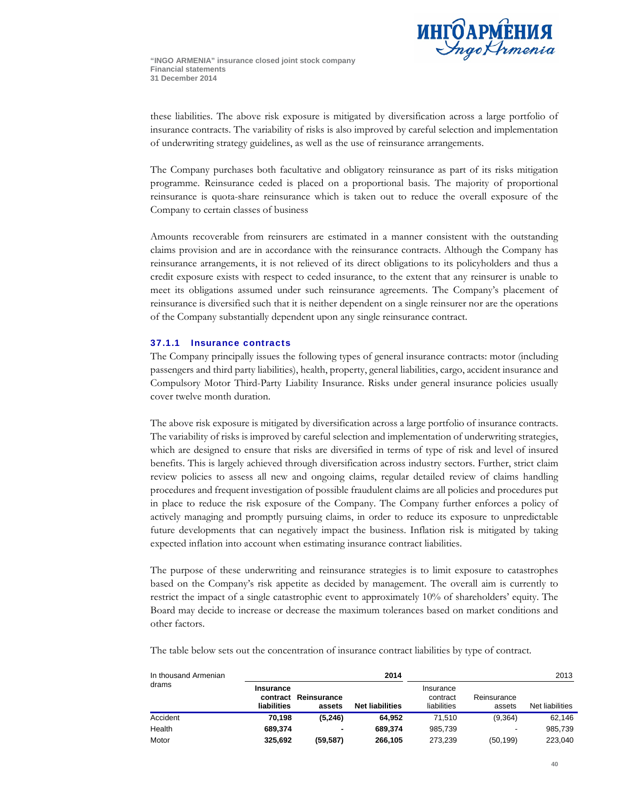

these liabilities. The above risk exposure is mitigated by diversification across a large portfolio of insurance contracts. The variability of risks is also improved by careful selection and implementation of underwriting strategy guidelines, as well as the use of reinsurance arrangements.

The Company purchases both facultative and obligatory reinsurance as part of its risks mitigation programme. Reinsurance ceded is placed on a proportional basis. The majority of proportional reinsurance is quota-share reinsurance which is taken out to reduce the overall exposure of the Company to certain classes of business

Amounts recoverable from reinsurers are estimated in a manner consistent with the outstanding claims provision and are in accordance with the reinsurance contracts. Although the Company has reinsurance arrangements, it is not relieved of its direct obligations to its policyholders and thus a credit exposure exists with respect to ceded insurance, to the extent that any reinsurer is unable to meet its obligations assumed under such reinsurance agreements. The Company's placement of reinsurance is diversified such that it is neither dependent on a single reinsurer nor are the operations of the Company substantially dependent upon any single reinsurance contract.

### 37.1.1 Insurance contracts

The Company principally issues the following types of general insurance contracts: motor (including passengers and third party liabilities), health, property, general liabilities, cargo, accident insurance and Compulsory Motor Third-Party Liability Insurance. Risks under general insurance policies usually cover twelve month duration.

The above risk exposure is mitigated by diversification across a large portfolio of insurance contracts. The variability of risks is improved by careful selection and implementation of underwriting strategies, which are designed to ensure that risks are diversified in terms of type of risk and level of insured benefits. This is largely achieved through diversification across industry sectors. Further, strict claim review policies to assess all new and ongoing claims, regular detailed review of claims handling procedures and frequent investigation of possible fraudulent claims are all policies and procedures put in place to reduce the risk exposure of the Company. The Company further enforces a policy of actively managing and promptly pursuing claims, in order to reduce its exposure to unpredictable future developments that can negatively impact the business. Inflation risk is mitigated by taking expected inflation into account when estimating insurance contract liabilities.

The purpose of these underwriting and reinsurance strategies is to limit exposure to catastrophes based on the Company's risk appetite as decided by management. The overall aim is currently to restrict the impact of a single catastrophic event to approximately 10% of shareholders' equity. The Board may decide to increase or decrease the maximum tolerances based on market conditions and other factors.

The table below sets out the concentration of insurance contract liabilities by type of contract.

| In thousand Armenian<br>drams |                                      |                       | 2014                   | 2013                                 |                       |                 |  |
|-------------------------------|--------------------------------------|-----------------------|------------------------|--------------------------------------|-----------------------|-----------------|--|
|                               | Insurance<br>contract<br>liabilities | Reinsurance<br>assets | <b>Net liabilities</b> | Insurance<br>contract<br>liabilities | Reinsurance<br>assets | Net liabilities |  |
| Accident                      | 70.198                               | (5,246)               | 64.952                 | 71.510                               | (9, 364)              | 62.146          |  |
| Health                        | 689.374                              |                       | 689.374                | 985.739                              | ٠                     | 985.739         |  |
| Motor                         | 325.692                              | (59,587)              | 266.105                | 273.239                              | (50, 199)             | 223.040         |  |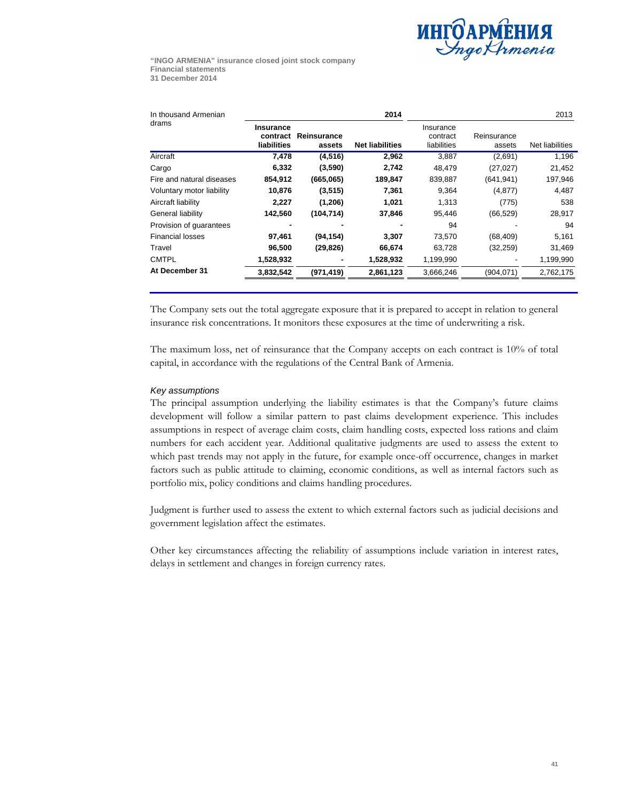

| In thousand Armenian      |                                      |                       | 2014                   |                                      |                       | 2013            |
|---------------------------|--------------------------------------|-----------------------|------------------------|--------------------------------------|-----------------------|-----------------|
| drams                     | Insurance<br>contract<br>liabilities | Reinsurance<br>assets | <b>Net liabilities</b> | Insurance<br>contract<br>liabilities | Reinsurance<br>assets | Net liabilities |
| Aircraft                  | 7,478                                | (4, 516)              | 2,962                  | 3,887                                | (2,691)               | 1,196           |
| Cargo                     | 6,332                                | (3,590)               | 2,742                  | 48,479                               | (27, 027)             | 21,452          |
| Fire and natural diseases | 854,912                              | (665,065)             | 189,847                | 839,887                              | (641, 941)            | 197,946         |
| Voluntary motor liability | 10,876                               | (3, 515)              | 7,361                  | 9,364                                | (4, 877)              | 4,487           |
| Aircraft liability        | 2,227                                | (1,206)               | 1,021                  | 1.313                                | (775)                 | 538             |
| General liability         | 142,560                              | (104, 714)            | 37,846                 | 95,446                               | (66, 529)             | 28,917          |
| Provision of quarantees   | -                                    |                       |                        | 94                                   |                       | 94              |
| <b>Financial losses</b>   | 97,461                               | (94, 154)             | 3,307                  | 73,570                               | (68, 409)             | 5,161           |
| Travel                    | 96,500                               | (29, 826)             | 66,674                 | 63,728                               | (32, 259)             | 31,469          |
| <b>CMTPL</b>              | 1,528,932                            |                       | 1,528,932              | 1,199,990                            |                       | 1,199,990       |
| At December 31            | 3,832,542                            | (971, 419)            | 2,861,123              | 3,666,246                            | (904, 071)            | 2,762,175       |
|                           |                                      |                       |                        |                                      |                       |                 |

The Company sets out the total aggregate exposure that it is prepared to accept in relation to general insurance risk concentrations. It monitors these exposures at the time of underwriting a risk.

The maximum loss, net of reinsurance that the Company accepts on each contract is 10% of total capital, in accordance with the regulations of the Central Bank of Armenia.

### *Key assumptions*

The principal assumption underlying the liability estimates is that the Company's future claims development will follow a similar pattern to past claims development experience. This includes assumptions in respect of average claim costs, claim handling costs, expected loss rations and claim numbers for each accident year. Additional qualitative judgments are used to assess the extent to which past trends may not apply in the future, for example once-off occurrence, changes in market factors such as public attitude to claiming, economic conditions, as well as internal factors such as portfolio mix, policy conditions and claims handling procedures.

Judgment is further used to assess the extent to which external factors such as judicial decisions and government legislation affect the estimates.

Other key circumstances affecting the reliability of assumptions include variation in interest rates, delays in settlement and changes in foreign currency rates.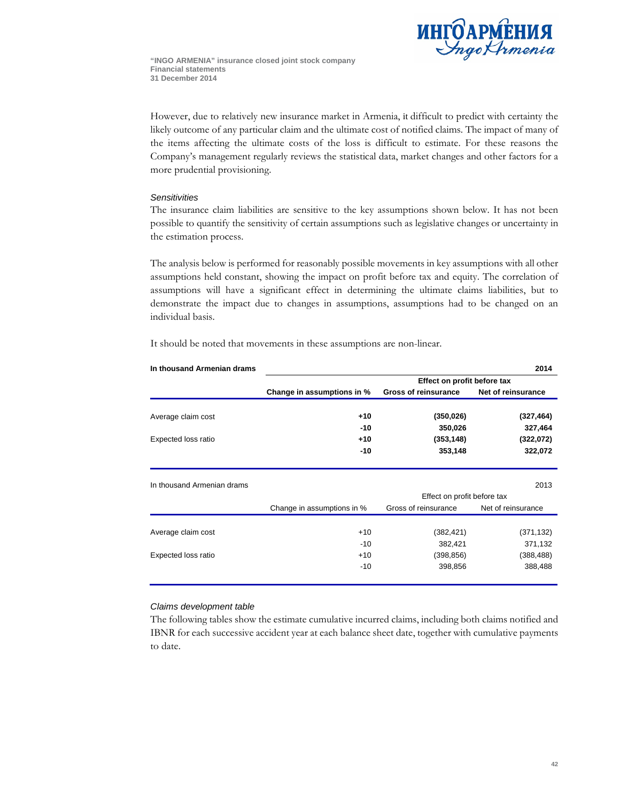

However, due to relatively new insurance market in Armenia, it difficult to predict with certainty the likely outcome of any particular claim and the ultimate cost of notified claims. The impact of many of the items affecting the ultimate costs of the loss is difficult to estimate. For these reasons the Company's management regularly reviews the statistical data, market changes and other factors for a more prudential provisioning.

#### *Sensitivities*

The insurance claim liabilities are sensitive to the key assumptions shown below. It has not been possible to quantify the sensitivity of certain assumptions such as legislative changes or uncertainty in the estimation process.

The analysis below is performed for reasonably possible movements in key assumptions with all other assumptions held constant, showing the impact on profit before tax and equity. The correlation of assumptions will have a significant effect in determining the ultimate claims liabilities, but to demonstrate the impact due to changes in assumptions, assumptions had to be changed on an individual basis.

It should be noted that movements in these assumptions are non-linear.

|                            |                            | Effect on profit before tax |                    |  |
|----------------------------|----------------------------|-----------------------------|--------------------|--|
|                            | Change in assumptions in % | <b>Gross of reinsurance</b> | Net of reinsurance |  |
| Average claim cost         | $+10$                      | (350, 026)                  | (327, 464)         |  |
|                            | $-10$                      | 350,026                     | 327,464            |  |
| Expected loss ratio        | $+10$                      | (353, 148)                  | (322,072)          |  |
|                            | $-10$                      | 353,148                     | 322,072            |  |
| In thousand Armenian drams |                            |                             | 2013               |  |
|                            |                            | Effect on profit before tax |                    |  |
|                            | Change in assumptions in % | Gross of reinsurance        | Net of reinsurance |  |
|                            |                            |                             |                    |  |
| Average claim cost         | $+10$                      | (382, 421)                  | (371, 132)         |  |
|                            | $-10$                      | 382,421                     | 371,132            |  |
| Expected loss ratio        | $+10$                      | (398, 856)                  | (388, 488)         |  |
|                            | $-10$                      | 398,856                     | 388,488            |  |
|                            |                            |                             |                    |  |

**In thousand Armenian drams 2014**

#### *Claims development table*

The following tables show the estimate cumulative incurred claims, including both claims notified and IBNR for each successive accident year at each balance sheet date, together with cumulative payments to date.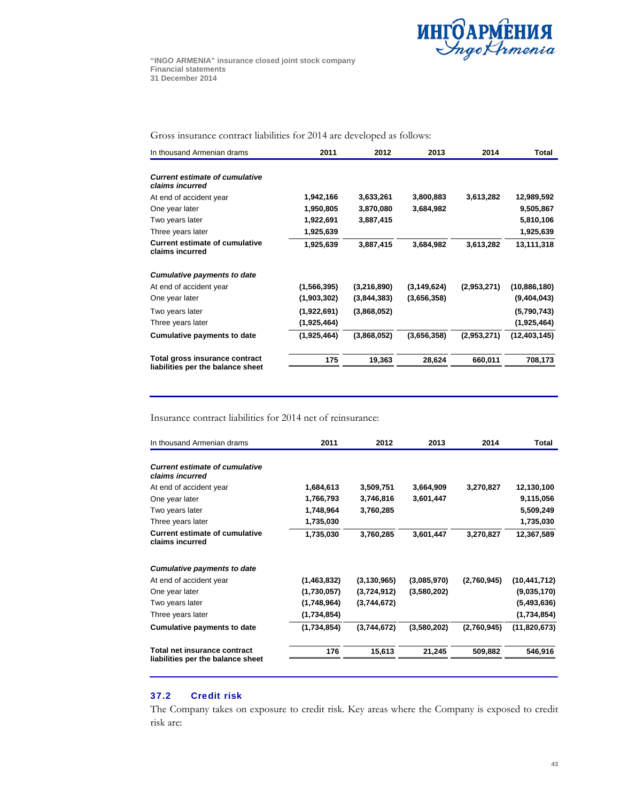

Gross insurance contract liabilities for 2014 are developed as follows:

| In thousand Armenian drams                                          | 2011          | 2012        | 2013          | 2014        | Total          |
|---------------------------------------------------------------------|---------------|-------------|---------------|-------------|----------------|
| <b>Current estimate of cumulative</b><br>claims incurred            |               |             |               |             |                |
| At end of accident year                                             | 1,942,166     | 3,633,261   | 3,800,883     | 3,613,282   | 12,989,592     |
| One year later                                                      | 1,950,805     | 3,870,080   | 3,684,982     |             | 9,505,867      |
| Two years later                                                     | 1,922,691     | 3,887,415   |               |             | 5,810,106      |
| Three years later                                                   | 1,925,639     |             |               |             | 1,925,639      |
| <b>Current estimate of cumulative</b><br>claims incurred            | 1,925,639     | 3,887,415   | 3,684,982     | 3,613,282   | 13,111,318     |
| <b>Cumulative payments to date</b>                                  |               |             |               |             |                |
| At end of accident year                                             | (1, 566, 395) | (3,216,890) | (3, 149, 624) | (2,953,271) | (10,886,180)   |
| One year later                                                      | (1,903,302)   | (3,844,383) | (3,656,358)   |             | (9,404,043)    |
| Two years later                                                     | (1,922,691)   | (3,868,052) |               |             | (5,790,743)    |
| Three years later                                                   | (1,925,464)   |             |               |             | (1,925,464)    |
| <b>Cumulative payments to date</b>                                  | (1,925,464)   | (3,868,052) | (3,656,358)   | (2,953,271) | (12, 403, 145) |
| Total gross insurance contract<br>liabilities per the balance sheet | 175           | 19,363      | 28,624        | 660,011     | 708,173        |

Insurance contract liabilities for 2014 net of reinsurance:

| In thousand Armenian drams                                        | 2011        | 2012          | 2013        | 2014        | Total          |
|-------------------------------------------------------------------|-------------|---------------|-------------|-------------|----------------|
| <b>Current estimate of cumulative</b><br>claims incurred          |             |               |             |             |                |
| At end of accident year                                           | 1,684,613   | 3,509,751     | 3,664,909   | 3,270,827   | 12,130,100     |
| One year later                                                    | 1,766,793   | 3,746,816     | 3,601,447   |             | 9,115,056      |
| Two years later                                                   | 1,748,964   | 3,760,285     |             |             | 5,509,249      |
| Three years later                                                 | 1,735,030   |               |             |             | 1,735,030      |
| <b>Current estimate of cumulative</b><br>claims incurred          | 1,735,030   | 3,760,285     | 3,601,447   | 3,270,827   | 12,367,589     |
| <b>Cumulative payments to date</b>                                |             |               |             |             |                |
| At end of accident year                                           | (1,463,832) | (3, 130, 965) | (3,085,970) | (2,760,945) | (10, 441, 712) |
| One year later                                                    | (1,730,057) | (3,724,912)   | (3,580,202) |             | (9,035,170)    |
| Two years later                                                   | (1,748,964) | (3,744,672)   |             |             | (5,493,636)    |
| Three years later                                                 | (1,734,854) |               |             |             | (1,734,854)    |
| Cumulative payments to date                                       | (1,734,854) | (3,744,672)   | (3,580,202) | (2,760,945) | (11,820,673)   |
| Total net insurance contract<br>liabilities per the balance sheet | 176         | 15,613        | 21,245      | 509,882     | 546,916        |

### 37.2 Credit risk

The Company takes on exposure to credit risk. Key areas where the Company is exposed to credit risk are: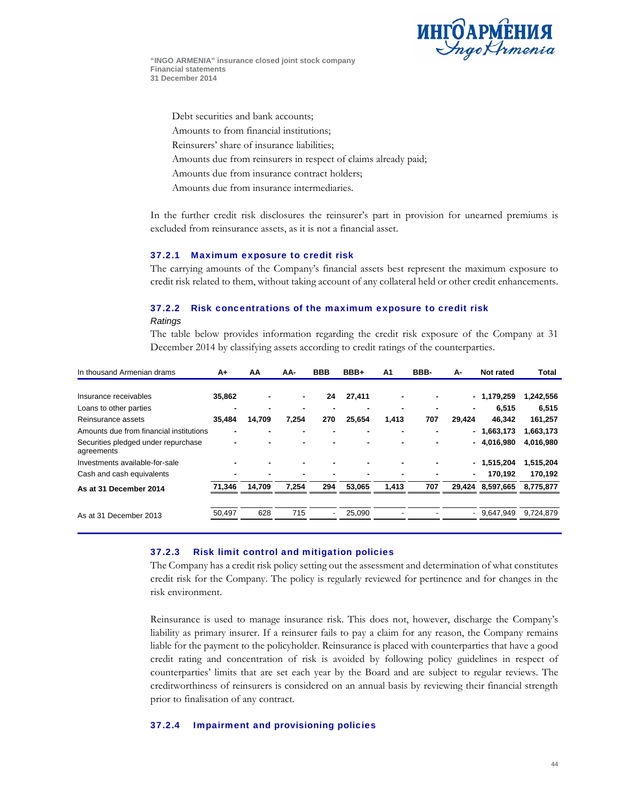

Debt securities and bank accounts;

Amounts to from financial institutions;

Reinsurers' share of insurance liabilities;

Amounts due from reinsurers in respect of claims already paid;

Amounts due from insurance contract holders;

Amounts due from insurance intermediaries.

In the further credit risk disclosures the reinsurer's part in provision for unearned premiums is excluded from reinsurance assets, as it is not a financial asset.

#### 37.2.1 Maximum exposure to credit risk

The carrying amounts of the Company's financial assets best represent the maximum exposure to credit risk related to them, without taking account of any collateral held or other credit enhancements.

### 37.2.2 Risk concentrations of the maximum exposure to credit risk

*Ratings* 

The table below provides information regarding the credit risk exposure of the Company at 31 December 2014 by classifying assets according to credit ratings of the counterparties.

| In thousand Armenian drams                        | $A+$           | AA     | AA-            | <b>BBB</b> | BBB+   | A1             | BBB- | А-                       | Not rated    | <b>Total</b> |
|---------------------------------------------------|----------------|--------|----------------|------------|--------|----------------|------|--------------------------|--------------|--------------|
|                                                   |                |        |                |            |        |                |      |                          |              |              |
| Insurance receivables                             | 35,862         |        | ۰.             | 24         | 27,411 | ۰              |      |                          | $-1,179,259$ | 1,242,556    |
| Loans to other parties                            | $\blacksquare$ |        | $\blacksquare$ |            |        | ۰              |      | ٠                        | 6,515        | 6,515        |
| Reinsurance assets                                | 35,484         | 14,709 | 7,254          | 270        | 25,654 | 1,413          | 707  | 29,424                   | 46.342       | 161,257      |
| Amounts due from financial institutions           | -              |        |                |            |        | ٠              |      | ٠                        | 1,663,173    | 1,663,173    |
| Securities pledged under repurchase<br>agreements | ٠              |        |                |            |        | ۰              |      | ٠                        | 4,016,980    | 4,016,980    |
| Investments available-for-sale                    |                |        |                |            |        | $\blacksquare$ |      |                          | $-1,515,204$ | 1,515,204    |
| Cash and cash equivalents                         |                |        |                |            |        | ۰              |      | ٠                        | 170.192      | 170,192      |
| As at 31 December 2014                            | 71,346         | 14,709 | 7,254          | 294        | 53,065 | 1,413          | 707  | 29.424                   | 8,597,665    | 8,775,877    |
| As at 31 December 2013                            | 50,497         | 628    | 715            |            | 25,090 | ٠              |      | $\overline{\phantom{0}}$ | 9,647,949    | 9,724,879    |
|                                                   |                |        |                |            |        |                |      |                          |              |              |

### 37.2.3 Risk limit control and mitigation policies

The Company has a credit risk policy setting out the assessment and determination of what constitutes credit risk for the Company. The policy is regularly reviewed for pertinence and for changes in the risk environment.

Reinsurance is used to manage insurance risk. This does not, however, discharge the Company's liability as primary insurer. If a reinsurer fails to pay a claim for any reason, the Company remains liable for the payment to the policyholder. Reinsurance is placed with counterparties that have a good credit rating and concentration of risk is avoided by following policy guidelines in respect of counterparties' limits that are set each year by the Board and are subject to regular reviews. The creditworthiness of reinsurers is considered on an annual basis by reviewing their financial strength prior to finalisation of any contract.

#### 37.2.4 Impairment and provisioning policies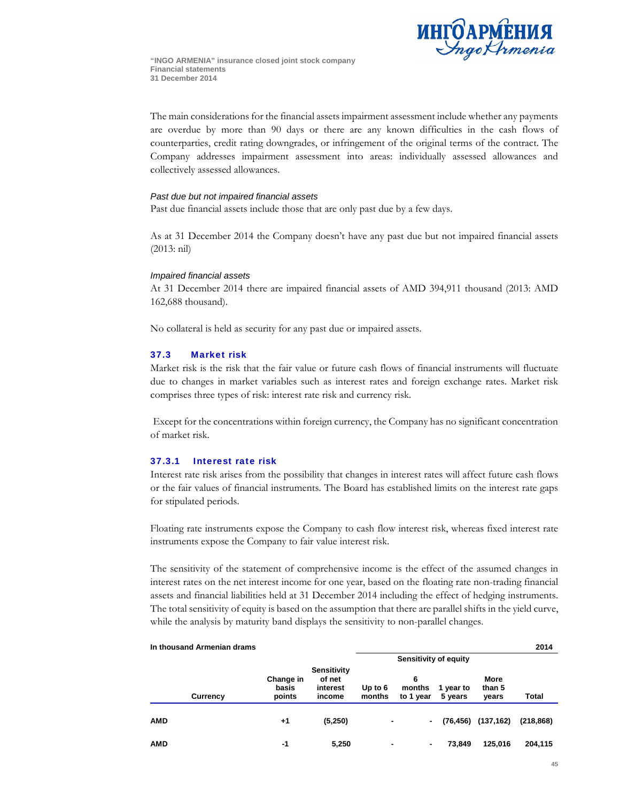

The main considerations for the financial assets impairment assessment include whether any payments are overdue by more than 90 days or there are any known difficulties in the cash flows of counterparties, credit rating downgrades, or infringement of the original terms of the contract. The Company addresses impairment assessment into areas: individually assessed allowances and collectively assessed allowances.

#### *Past due but not impaired financial assets*

Past due financial assets include those that are only past due by a few days.

As at 31 December 2014 the Company doesn't have any past due but not impaired financial assets (2013: nil)

#### *Impaired financial assets*

At 31 December 2014 there are impaired financial assets of AMD 394,911 thousand (2013: AMD 162,688 thousand).

No collateral is held as security for any past due or impaired assets.

### 37.3 Market risk

Market risk is the risk that the fair value or future cash flows of financial instruments will fluctuate due to changes in market variables such as interest rates and foreign exchange rates. Market risk comprises three types of risk: interest rate risk and currency risk.

 Except for the concentrations within foreign currency, the Company has no significant concentration of market risk.

#### 37.3.1 Interest rate risk

Interest rate risk arises from the possibility that changes in interest rates will affect future cash flows or the fair values of financial instruments. The Board has established limits on the interest rate gaps for stipulated periods.

Floating rate instruments expose the Company to cash flow interest risk, whereas fixed interest rate instruments expose the Company to fair value interest risk.

The sensitivity of the statement of comprehensive income is the effect of the assumed changes in interest rates on the net interest income for one year, based on the floating rate non-trading financial assets and financial liabilities held at 31 December 2014 including the effect of hedging instruments. The total sensitivity of equity is based on the assumption that there are parallel shifts in the yield curve, while the analysis by maturity band displays the sensitivity to non-parallel changes.

| In thousand Armenian drams |                              |                                             |                     |                          |                      |                         | 2014         |
|----------------------------|------------------------------|---------------------------------------------|---------------------|--------------------------|----------------------|-------------------------|--------------|
|                            |                              |                                             |                     | Sensitivity of equity    |                      |                         |              |
| Currency                   | Change in<br>basis<br>points | Sensitivity<br>of net<br>interest<br>income | Up to $6$<br>months | 6<br>months<br>to 1 year | 1 year to<br>5 years | More<br>than 5<br>years | <b>Total</b> |
| <b>AMD</b>                 | +1                           | (5, 250)                                    | $\blacksquare$      | $\sim$                   | (76, 456)            | (137, 162)              | (218, 868)   |
| <b>AMD</b>                 | -1                           | 5,250                                       | ٠                   | ۰                        | 73,849               | 125,016                 | 204,115      |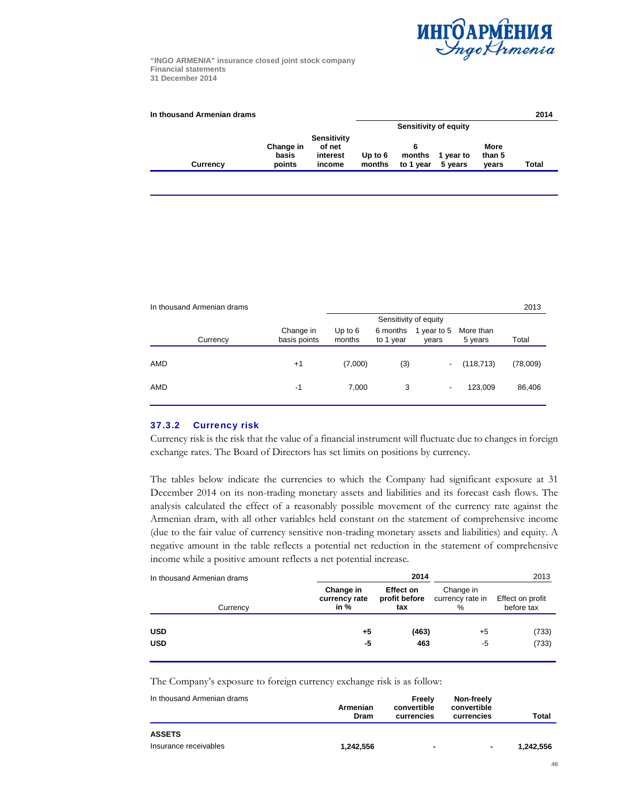

| In thousand Armenian drams |                              |                                          |                   |                       |         |                | 2014  |
|----------------------------|------------------------------|------------------------------------------|-------------------|-----------------------|---------|----------------|-------|
|                            |                              |                                          |                   | Sensitivity of equity |         |                |       |
|                            | Change in<br>basis<br>points | <b>Sensitivity</b><br>of net<br>interest | Up to 6<br>months | months<br>to 1 year   | vear to | More<br>than 5 | Total |
| Currency                   |                              | income                                   |                   |                       | 5 vears | years          |       |

| In thousand Armenian drams |                           |                     |                       |                               |                      | 2013     |
|----------------------------|---------------------------|---------------------|-----------------------|-------------------------------|----------------------|----------|
|                            |                           |                     | Sensitivity of equity |                               |                      |          |
| Currency                   | Change in<br>basis points | Up to $6$<br>months | to 1 year             | 6 months 1 year to 5<br>years | More than<br>5 years | Total    |
| AMD                        | $+1$                      | (7,000)             | (3)                   | $\overline{\phantom{a}}$      | (118, 713)           | (78,009) |
| AMD                        | -1                        | 7,000               | 3                     | ٠                             | 123.009              | 86,406   |
|                            |                           |                     |                       |                               |                      |          |

### 37.3.2 Currency risk

Currency risk is the risk that the value of a financial instrument will fluctuate due to changes in foreign exchange rates. The Board of Directors has set limits on positions by currency.

The tables below indicate the currencies to which the Company had significant exposure at 31 December 2014 on its non-trading monetary assets and liabilities and its forecast cash flows. The analysis calculated the effect of a reasonably possible movement of the currency rate against the Armenian dram, with all other variables held constant on the statement of comprehensive income (due to the fair value of currency sensitive non-trading monetary assets and liabilities) and equity. A negative amount in the table reflects a potential net reduction in the statement of comprehensive income while a positive amount reflects a net potential increase.

| In thousand Armenian drams | 2014<br>2013                       |                                          |                                    |                                |  |  |  |
|----------------------------|------------------------------------|------------------------------------------|------------------------------------|--------------------------------|--|--|--|
| Currency                   | Change in<br>currency rate<br>in % | <b>Effect on</b><br>profit before<br>tax | Change in<br>currency rate in<br>% | Effect on profit<br>before tax |  |  |  |
| <b>USD</b>                 | +5                                 | (463)                                    | +5                                 | (733)                          |  |  |  |
| <b>USD</b>                 | -5                                 | 463                                      | -5                                 | (733)                          |  |  |  |

The Company's exposure to foreign currency exchange risk is as follow:

| In thousand Armenian drams             | Armenian<br>Dram | Freely<br>convertible<br>currencies | Non-freely<br>convertible<br>currencies | Total     |
|----------------------------------------|------------------|-------------------------------------|-----------------------------------------|-----------|
| <b>ASSETS</b><br>Insurance receivables | 1,242,556        | $\blacksquare$                      | $\blacksquare$                          | 1.242.556 |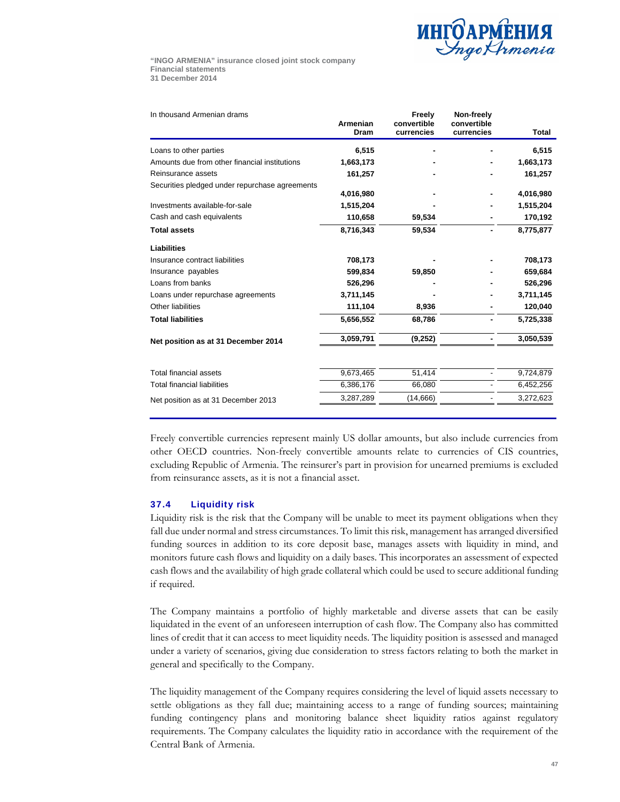

| In thousand Armenian drams                     | Armenian  | Freely<br>convertible | Non-freely<br>convertible |           |
|------------------------------------------------|-----------|-----------------------|---------------------------|-----------|
|                                                | Dram      | currencies            | currencies                | Total     |
| Loans to other parties                         | 6,515     |                       |                           | 6,515     |
| Amounts due from other financial institutions  | 1,663,173 |                       |                           | 1,663,173 |
| Reinsurance assets                             | 161,257   |                       |                           | 161,257   |
| Securities pledged under repurchase agreements |           |                       |                           |           |
|                                                | 4,016,980 |                       |                           | 4,016,980 |
| Investments available-for-sale                 | 1,515,204 |                       |                           | 1,515,204 |
| Cash and cash equivalents                      | 110,658   | 59,534                |                           | 170,192   |
| <b>Total assets</b>                            | 8,716,343 | 59.534                |                           | 8,775,877 |
| Liabilities                                    |           |                       |                           |           |
| Insurance contract liabilities                 | 708,173   |                       |                           | 708,173   |
| Insurance payables                             | 599,834   | 59,850                |                           | 659,684   |
| Loans from banks                               | 526,296   |                       |                           | 526,296   |
| Loans under repurchase agreements              | 3,711,145 |                       |                           | 3,711,145 |
| Other liabilities                              | 111,104   | 8,936                 |                           | 120,040   |
| <b>Total liabilities</b>                       | 5,656,552 | 68,786                |                           | 5,725,338 |
| Net position as at 31 December 2014            | 3,059,791 | (9,252)               |                           | 3,050,539 |
|                                                |           |                       |                           |           |
| Total financial assets                         | 9,673,465 | 51,414                |                           | 9,724,879 |
| <b>Total financial liabilities</b>             | 6,386,176 | 66,080                |                           | 6,452,256 |
| Net position as at 31 December 2013            | 3,287,289 | (14, 666)             |                           | 3,272,623 |

Freely convertible currencies represent mainly US dollar amounts, but also include currencies from other OECD countries. Non-freely convertible amounts relate to currencies of CIS countries, excluding Republic of Armenia. The reinsurer's part in provision for unearned premiums is excluded from reinsurance assets, as it is not a financial asset.

### 37.4 Liquidity risk

Liquidity risk is the risk that the Company will be unable to meet its payment obligations when they fall due under normal and stress circumstances. To limit this risk, management has arranged diversified funding sources in addition to its core deposit base, manages assets with liquidity in mind, and monitors future cash flows and liquidity on a daily bases. This incorporates an assessment of expected cash flows and the availability of high grade collateral which could be used to secure additional funding if required.

The Company maintains a portfolio of highly marketable and diverse assets that can be easily liquidated in the event of an unforeseen interruption of cash flow. The Company also has committed lines of credit that it can access to meet liquidity needs. The liquidity position is assessed and managed under a variety of scenarios, giving due consideration to stress factors relating to both the market in general and specifically to the Company.

The liquidity management of the Company requires considering the level of liquid assets necessary to settle obligations as they fall due; maintaining access to a range of funding sources; maintaining funding contingency plans and monitoring balance sheet liquidity ratios against regulatory requirements. The Company calculates the liquidity ratio in accordance with the requirement of the Central Bank of Armenia.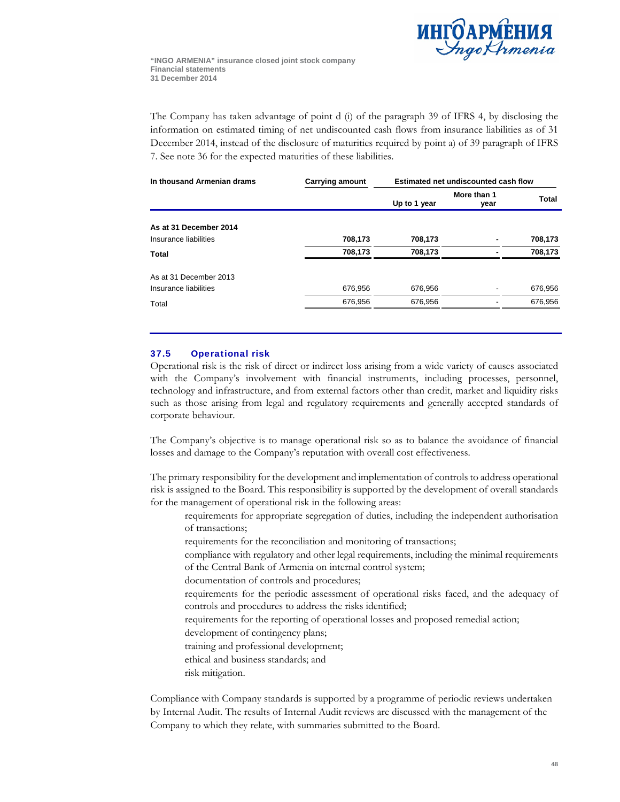

The Company has taken advantage of point d (i) of the paragraph 39 of IFRS 4, by disclosing the information on estimated timing of net undiscounted cash flows from insurance liabilities as of 31 December 2014, instead of the disclosure of maturities required by point a) of 39 paragraph of IFRS 7. See note 36 for the expected maturities of these liabilities.

| In thousand Armenian drams | <b>Carrying amount</b> | Estimated net undiscounted cash flow |                     |         |  |
|----------------------------|------------------------|--------------------------------------|---------------------|---------|--|
|                            |                        | Up to 1 year                         | More than 1<br>year | Total   |  |
| As at 31 December 2014     |                        |                                      |                     |         |  |
| Insurance liabilities      | 708,173                | 708,173                              |                     | 708,173 |  |
| Total                      | 708,173                | 708,173                              |                     | 708,173 |  |
| As at 31 December 2013     |                        |                                      |                     |         |  |
| Insurance liabilities      | 676,956                | 676,956                              |                     | 676,956 |  |
| Total                      | 676,956                | 676,956                              |                     | 676,956 |  |

### 37.5 Operational risk

Operational risk is the risk of direct or indirect loss arising from a wide variety of causes associated with the Company's involvement with financial instruments, including processes, personnel, technology and infrastructure, and from external factors other than credit, market and liquidity risks such as those arising from legal and regulatory requirements and generally accepted standards of corporate behaviour.

The Company's objective is to manage operational risk so as to balance the avoidance of financial losses and damage to the Company's reputation with overall cost effectiveness.

The primary responsibility for the development and implementation of controls to address operational risk is assigned to the Board. This responsibility is supported by the development of overall standards for the management of operational risk in the following areas:

- requirements for appropriate segregation of duties, including the independent authorisation of transactions;
- requirements for the reconciliation and monitoring of transactions;
- compliance with regulatory and other legal requirements, including the minimal requirements of the Central Bank of Armenia on internal control system;
- documentation of controls and procedures;
- requirements for the periodic assessment of operational risks faced, and the adequacy of controls and procedures to address the risks identified;
- requirements for the reporting of operational losses and proposed remedial action;
- development of contingency plans;
- training and professional development;
- ethical and business standards; and
- risk mitigation.

Compliance with Company standards is supported by a programme of periodic reviews undertaken by Internal Audit. The results of Internal Audit reviews are discussed with the management of the Company to which they relate, with summaries submitted to the Board.